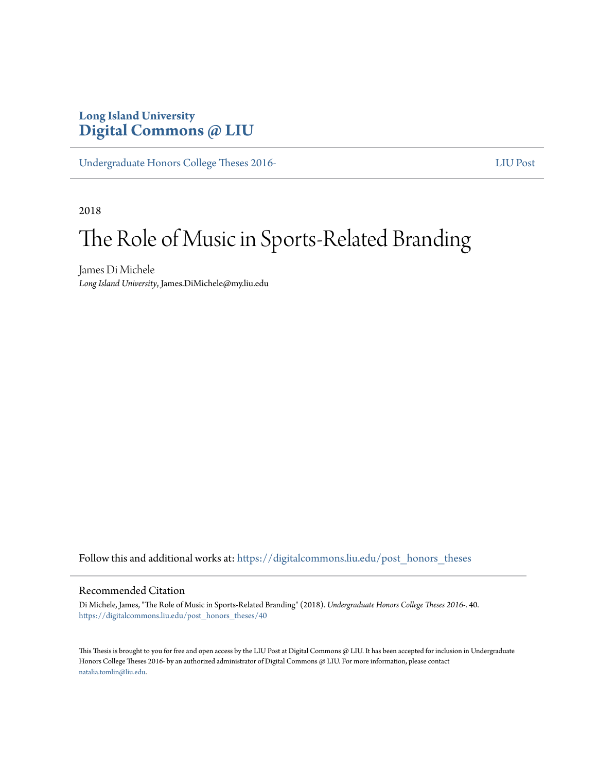# **Long Island University [Digital Commons @ LIU](https://digitalcommons.liu.edu?utm_source=digitalcommons.liu.edu%2Fpost_honors_theses%2F40&utm_medium=PDF&utm_campaign=PDFCoverPages)**

[Undergraduate Honors College Theses 2016-](https://digitalcommons.liu.edu/post_honors_theses?utm_source=digitalcommons.liu.edu%2Fpost_honors_theses%2F40&utm_medium=PDF&utm_campaign=PDFCoverPages)<br> [LIU Post](https://digitalcommons.liu.edu/td_post?utm_source=digitalcommons.liu.edu%2Fpost_honors_theses%2F40&utm_medium=PDF&utm_campaign=PDFCoverPages)

2018

# The Role of Music in Sports-Related Branding

James Di Michele *Long Island University*, James.DiMichele@my.liu.edu

Follow this and additional works at: [https://digitalcommons.liu.edu/post\\_honors\\_theses](https://digitalcommons.liu.edu/post_honors_theses?utm_source=digitalcommons.liu.edu%2Fpost_honors_theses%2F40&utm_medium=PDF&utm_campaign=PDFCoverPages)

#### Recommended Citation

Di Michele, James, "The Role of Music in Sports-Related Branding" (2018). *Undergraduate Honors College Theses 2016-*. 40. [https://digitalcommons.liu.edu/post\\_honors\\_theses/40](https://digitalcommons.liu.edu/post_honors_theses/40?utm_source=digitalcommons.liu.edu%2Fpost_honors_theses%2F40&utm_medium=PDF&utm_campaign=PDFCoverPages)

This Thesis is brought to you for free and open access by the LIU Post at Digital Commons @ LIU. It has been accepted for inclusion in Undergraduate Honors College Theses 2016- by an authorized administrator of Digital Commons @ LIU. For more information, please contact [natalia.tomlin@liu.edu](mailto:natalia.tomlin@liu.edu).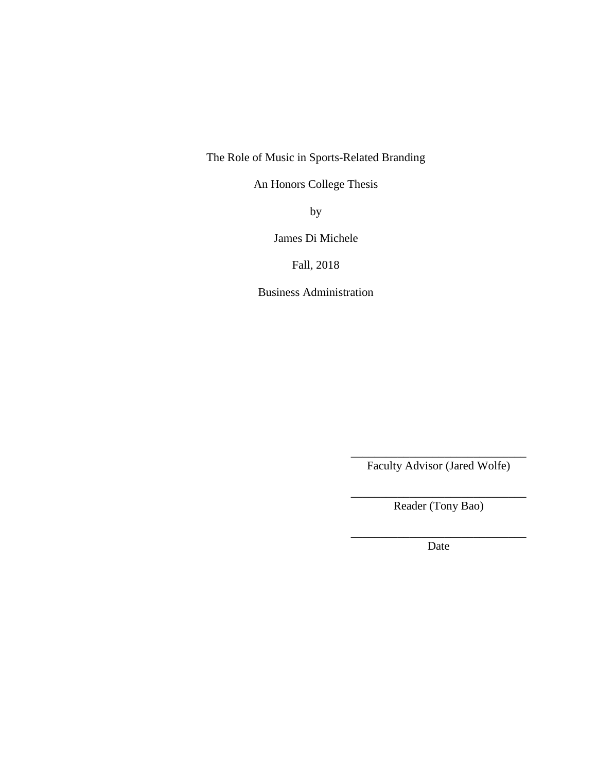The Role of Music in Sports-Related Branding

An Honors College Thesis

by

James Di Michele

Fall, 2018

Business Administration

\_\_\_\_\_\_\_\_\_\_\_\_\_\_\_\_\_\_\_\_\_\_\_\_\_\_\_\_\_\_ Faculty Advisor (Jared Wolfe)

\_\_\_\_\_\_\_\_\_\_\_\_\_\_\_\_\_\_\_\_\_\_\_\_\_\_\_\_\_\_ Reader (Tony Bao)

\_\_\_\_\_\_\_\_\_\_\_\_\_\_\_\_\_\_\_\_\_\_\_\_\_\_\_\_\_\_ Date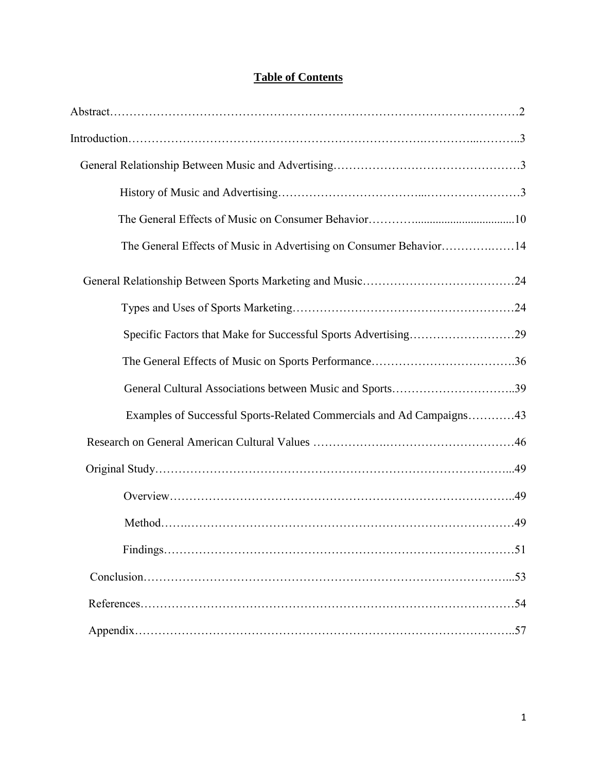## **Table of Contents**

| The General Effects of Music in Advertising on Consumer Behavior14   |
|----------------------------------------------------------------------|
|                                                                      |
|                                                                      |
| Specific Factors that Make for Successful Sports Advertising29       |
|                                                                      |
| General Cultural Associations between Music and Sports39             |
| Examples of Successful Sports-Related Commercials and Ad Campaigns43 |
|                                                                      |
|                                                                      |
|                                                                      |
|                                                                      |
|                                                                      |
|                                                                      |
|                                                                      |
|                                                                      |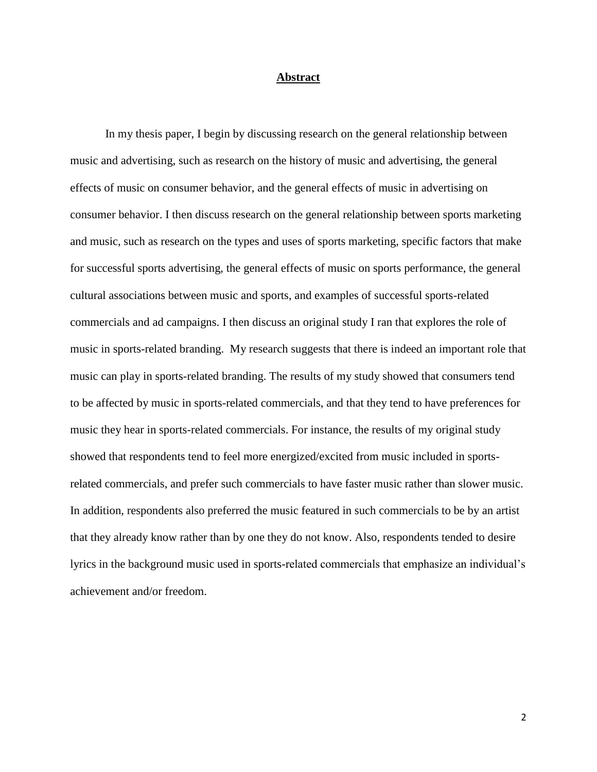#### **Abstract**

In my thesis paper, I begin by discussing research on the general relationship between music and advertising, such as research on the history of music and advertising, the general effects of music on consumer behavior, and the general effects of music in advertising on consumer behavior. I then discuss research on the general relationship between sports marketing and music, such as research on the types and uses of sports marketing, specific factors that make for successful sports advertising, the general effects of music on sports performance, the general cultural associations between music and sports, and examples of successful sports-related commercials and ad campaigns. I then discuss an original study I ran that explores the role of music in sports-related branding. My research suggests that there is indeed an important role that music can play in sports-related branding. The results of my study showed that consumers tend to be affected by music in sports-related commercials, and that they tend to have preferences for music they hear in sports-related commercials. For instance, the results of my original study showed that respondents tend to feel more energized/excited from music included in sportsrelated commercials, and prefer such commercials to have faster music rather than slower music. In addition, respondents also preferred the music featured in such commercials to be by an artist that they already know rather than by one they do not know. Also, respondents tended to desire lyrics in the background music used in sports-related commercials that emphasize an individual's achievement and/or freedom.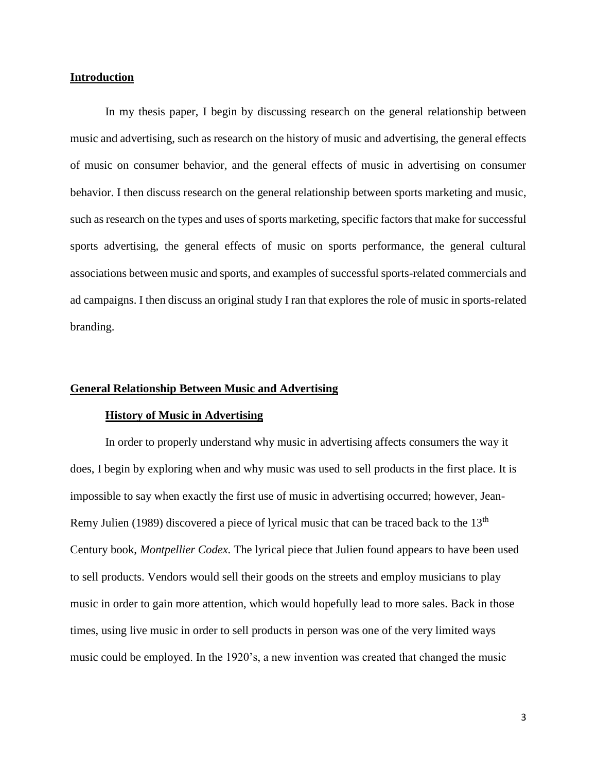#### **Introduction**

In my thesis paper, I begin by discussing research on the general relationship between music and advertising, such as research on the history of music and advertising, the general effects of music on consumer behavior, and the general effects of music in advertising on consumer behavior. I then discuss research on the general relationship between sports marketing and music, such as research on the types and uses of sports marketing, specific factors that make for successful sports advertising, the general effects of music on sports performance, the general cultural associations between music and sports, and examples of successful sports-related commercials and ad campaigns. I then discuss an original study I ran that explores the role of music in sports-related branding.

#### **General Relationship Between Music and Advertising**

#### **History of Music in Advertising**

In order to properly understand why music in advertising affects consumers the way it does, I begin by exploring when and why music was used to sell products in the first place. It is impossible to say when exactly the first use of music in advertising occurred; however, Jean-Remy Julien (1989) discovered a piece of lyrical music that can be traced back to the 13<sup>th</sup> Century book, *Montpellier Codex.* The lyrical piece that Julien found appears to have been used to sell products. Vendors would sell their goods on the streets and employ musicians to play music in order to gain more attention, which would hopefully lead to more sales. Back in those times, using live music in order to sell products in person was one of the very limited ways music could be employed. In the 1920's, a new invention was created that changed the music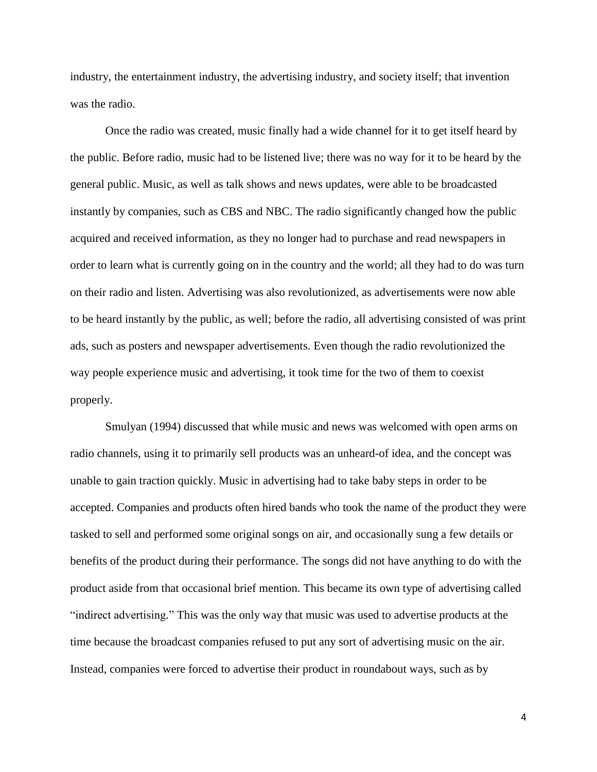industry, the entertainment industry, the advertising industry, and society itself; that invention was the radio.

Once the radio was created, music finally had a wide channel for it to get itself heard by the public. Before radio, music had to be listened live; there was no way for it to be heard by the general public. Music, as well as talk shows and news updates, were able to be broadcasted instantly by companies, such as CBS and NBC. The radio significantly changed how the public acquired and received information, as they no longer had to purchase and read newspapers in order to learn what is currently going on in the country and the world; all they had to do was turn on their radio and listen. Advertising was also revolutionized, as advertisements were now able to be heard instantly by the public, as well; before the radio, all advertising consisted of was print ads, such as posters and newspaper advertisements. Even though the radio revolutionized the way people experience music and advertising, it took time for the two of them to coexist properly.

Smulyan (1994) discussed that while music and news was welcomed with open arms on radio channels, using it to primarily sell products was an unheard-of idea, and the concept was unable to gain traction quickly. Music in advertising had to take baby steps in order to be accepted. Companies and products often hired bands who took the name of the product they were tasked to sell and performed some original songs on air, and occasionally sung a few details or benefits of the product during their performance. The songs did not have anything to do with the product aside from that occasional brief mention. This became its own type of advertising called "indirect advertising." This was the only way that music was used to advertise products at the time because the broadcast companies refused to put any sort of advertising music on the air. Instead, companies were forced to advertise their product in roundabout ways, such as by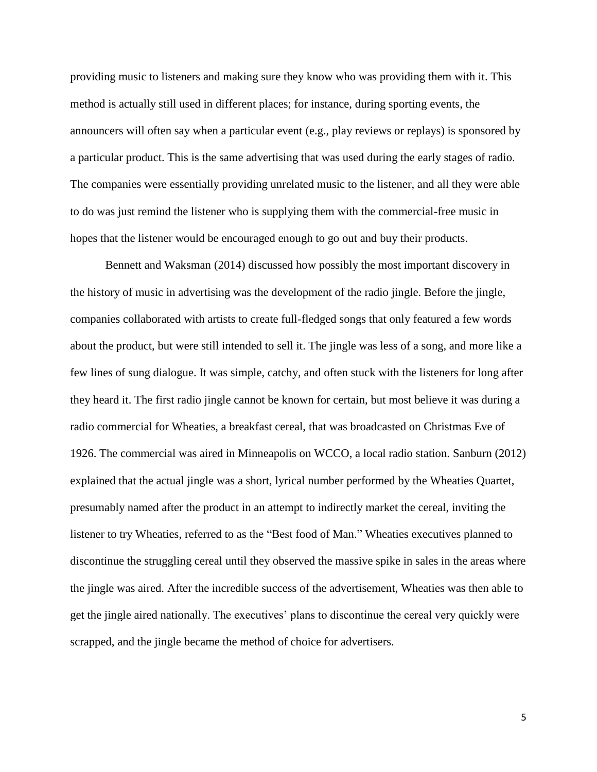providing music to listeners and making sure they know who was providing them with it. This method is actually still used in different places; for instance, during sporting events, the announcers will often say when a particular event (e.g., play reviews or replays) is sponsored by a particular product. This is the same advertising that was used during the early stages of radio. The companies were essentially providing unrelated music to the listener, and all they were able to do was just remind the listener who is supplying them with the commercial-free music in hopes that the listener would be encouraged enough to go out and buy their products.

Bennett and Waksman (2014) discussed how possibly the most important discovery in the history of music in advertising was the development of the radio jingle. Before the jingle, companies collaborated with artists to create full-fledged songs that only featured a few words about the product, but were still intended to sell it. The jingle was less of a song, and more like a few lines of sung dialogue. It was simple, catchy, and often stuck with the listeners for long after they heard it. The first radio jingle cannot be known for certain, but most believe it was during a radio commercial for Wheaties, a breakfast cereal, that was broadcasted on Christmas Eve of 1926. The commercial was aired in Minneapolis on WCCO, a local radio station. Sanburn (2012) explained that the actual jingle was a short, lyrical number performed by the Wheaties Quartet, presumably named after the product in an attempt to indirectly market the cereal, inviting the listener to try Wheaties, referred to as the "Best food of Man." Wheaties executives planned to discontinue the struggling cereal until they observed the massive spike in sales in the areas where the jingle was aired. After the incredible success of the advertisement, Wheaties was then able to get the jingle aired nationally. The executives' plans to discontinue the cereal very quickly were scrapped, and the jingle became the method of choice for advertisers.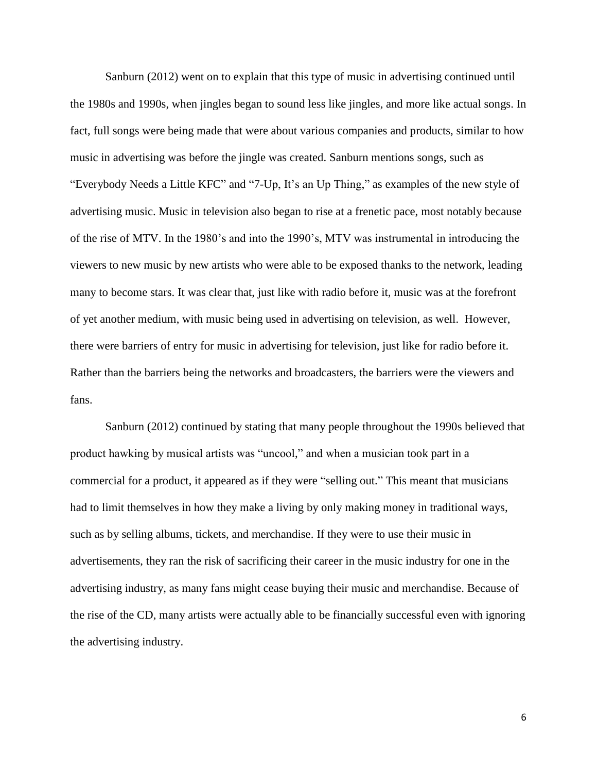Sanburn (2012) went on to explain that this type of music in advertising continued until the 1980s and 1990s, when jingles began to sound less like jingles, and more like actual songs. In fact, full songs were being made that were about various companies and products, similar to how music in advertising was before the jingle was created. Sanburn mentions songs, such as "Everybody Needs a Little KFC" and "7-Up, It's an Up Thing," as examples of the new style of advertising music. Music in television also began to rise at a frenetic pace, most notably because of the rise of MTV. In the 1980's and into the 1990's, MTV was instrumental in introducing the viewers to new music by new artists who were able to be exposed thanks to the network, leading many to become stars. It was clear that, just like with radio before it, music was at the forefront of yet another medium, with music being used in advertising on television, as well. However, there were barriers of entry for music in advertising for television, just like for radio before it. Rather than the barriers being the networks and broadcasters, the barriers were the viewers and fans.

Sanburn (2012) continued by stating that many people throughout the 1990s believed that product hawking by musical artists was "uncool," and when a musician took part in a commercial for a product, it appeared as if they were "selling out." This meant that musicians had to limit themselves in how they make a living by only making money in traditional ways, such as by selling albums, tickets, and merchandise. If they were to use their music in advertisements, they ran the risk of sacrificing their career in the music industry for one in the advertising industry, as many fans might cease buying their music and merchandise. Because of the rise of the CD, many artists were actually able to be financially successful even with ignoring the advertising industry.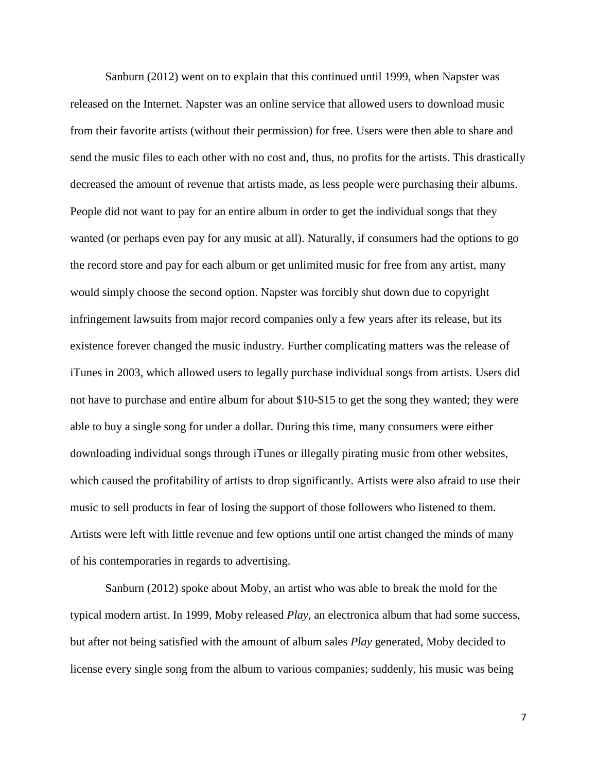Sanburn (2012) went on to explain that this continued until 1999, when Napster was released on the Internet. Napster was an online service that allowed users to download music from their favorite artists (without their permission) for free. Users were then able to share and send the music files to each other with no cost and, thus, no profits for the artists. This drastically decreased the amount of revenue that artists made, as less people were purchasing their albums. People did not want to pay for an entire album in order to get the individual songs that they wanted (or perhaps even pay for any music at all). Naturally, if consumers had the options to go the record store and pay for each album or get unlimited music for free from any artist, many would simply choose the second option. Napster was forcibly shut down due to copyright infringement lawsuits from major record companies only a few years after its release, but its existence forever changed the music industry. Further complicating matters was the release of iTunes in 2003, which allowed users to legally purchase individual songs from artists. Users did not have to purchase and entire album for about \$10-\$15 to get the song they wanted; they were able to buy a single song for under a dollar. During this time, many consumers were either downloading individual songs through iTunes or illegally pirating music from other websites, which caused the profitability of artists to drop significantly. Artists were also afraid to use their music to sell products in fear of losing the support of those followers who listened to them. Artists were left with little revenue and few options until one artist changed the minds of many of his contemporaries in regards to advertising.

Sanburn (2012) spoke about Moby, an artist who was able to break the mold for the typical modern artist. In 1999, Moby released *Play*, an electronica album that had some success, but after not being satisfied with the amount of album sales *Play* generated, Moby decided to license every single song from the album to various companies; suddenly, his music was being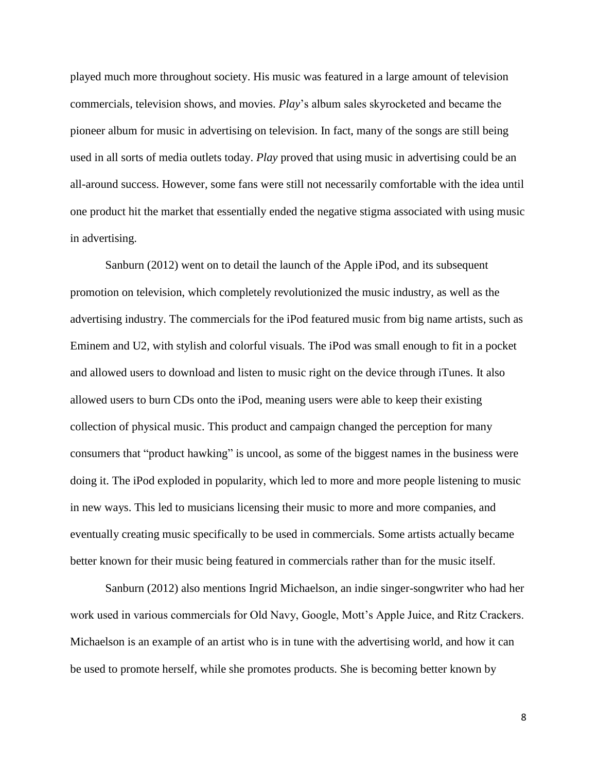played much more throughout society. His music was featured in a large amount of television commercials, television shows, and movies. *Play*'s album sales skyrocketed and became the pioneer album for music in advertising on television. In fact, many of the songs are still being used in all sorts of media outlets today. *Play* proved that using music in advertising could be an all-around success. However, some fans were still not necessarily comfortable with the idea until one product hit the market that essentially ended the negative stigma associated with using music in advertising.

Sanburn (2012) went on to detail the launch of the Apple iPod, and its subsequent promotion on television, which completely revolutionized the music industry, as well as the advertising industry. The commercials for the iPod featured music from big name artists, such as Eminem and U2, with stylish and colorful visuals. The iPod was small enough to fit in a pocket and allowed users to download and listen to music right on the device through iTunes. It also allowed users to burn CDs onto the iPod, meaning users were able to keep their existing collection of physical music. This product and campaign changed the perception for many consumers that "product hawking" is uncool, as some of the biggest names in the business were doing it. The iPod exploded in popularity, which led to more and more people listening to music in new ways. This led to musicians licensing their music to more and more companies, and eventually creating music specifically to be used in commercials. Some artists actually became better known for their music being featured in commercials rather than for the music itself.

Sanburn (2012) also mentions Ingrid Michaelson, an indie singer-songwriter who had her work used in various commercials for Old Navy, Google, Mott's Apple Juice, and Ritz Crackers. Michaelson is an example of an artist who is in tune with the advertising world, and how it can be used to promote herself, while she promotes products. She is becoming better known by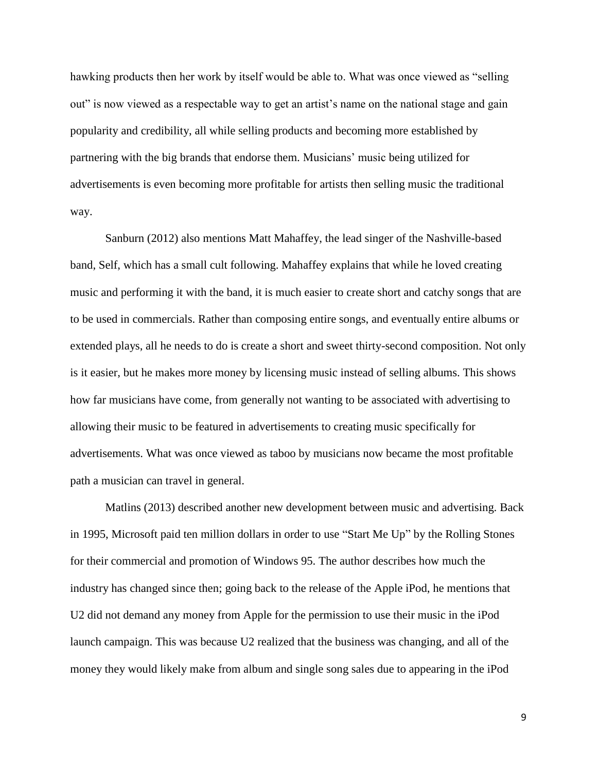hawking products then her work by itself would be able to. What was once viewed as "selling out" is now viewed as a respectable way to get an artist's name on the national stage and gain popularity and credibility, all while selling products and becoming more established by partnering with the big brands that endorse them. Musicians' music being utilized for advertisements is even becoming more profitable for artists then selling music the traditional way.

Sanburn (2012) also mentions Matt Mahaffey, the lead singer of the Nashville-based band, Self, which has a small cult following. Mahaffey explains that while he loved creating music and performing it with the band, it is much easier to create short and catchy songs that are to be used in commercials. Rather than composing entire songs, and eventually entire albums or extended plays, all he needs to do is create a short and sweet thirty-second composition. Not only is it easier, but he makes more money by licensing music instead of selling albums. This shows how far musicians have come, from generally not wanting to be associated with advertising to allowing their music to be featured in advertisements to creating music specifically for advertisements. What was once viewed as taboo by musicians now became the most profitable path a musician can travel in general.

Matlins (2013) described another new development between music and advertising. Back in 1995, Microsoft paid ten million dollars in order to use "Start Me Up" by the Rolling Stones for their commercial and promotion of Windows 95. The author describes how much the industry has changed since then; going back to the release of the Apple iPod, he mentions that U2 did not demand any money from Apple for the permission to use their music in the iPod launch campaign. This was because U2 realized that the business was changing, and all of the money they would likely make from album and single song sales due to appearing in the iPod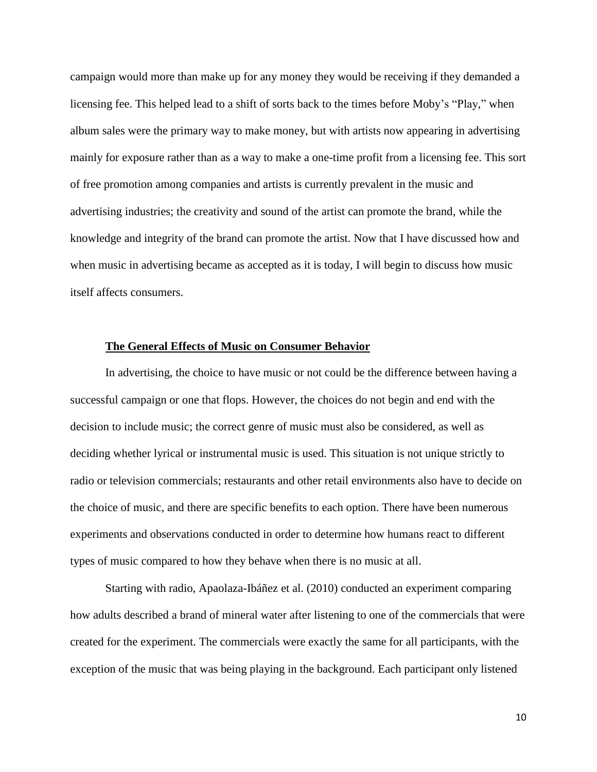campaign would more than make up for any money they would be receiving if they demanded a licensing fee. This helped lead to a shift of sorts back to the times before Moby's "Play," when album sales were the primary way to make money, but with artists now appearing in advertising mainly for exposure rather than as a way to make a one-time profit from a licensing fee. This sort of free promotion among companies and artists is currently prevalent in the music and advertising industries; the creativity and sound of the artist can promote the brand, while the knowledge and integrity of the brand can promote the artist. Now that I have discussed how and when music in advertising became as accepted as it is today, I will begin to discuss how music itself affects consumers.

#### **The General Effects of Music on Consumer Behavior**

In advertising, the choice to have music or not could be the difference between having a successful campaign or one that flops. However, the choices do not begin and end with the decision to include music; the correct genre of music must also be considered, as well as deciding whether lyrical or instrumental music is used. This situation is not unique strictly to radio or television commercials; restaurants and other retail environments also have to decide on the choice of music, and there are specific benefits to each option. There have been numerous experiments and observations conducted in order to determine how humans react to different types of music compared to how they behave when there is no music at all.

Starting with radio, Apaolaza-Ibáñez et al. (2010) conducted an experiment comparing how adults described a brand of mineral water after listening to one of the commercials that were created for the experiment. The commercials were exactly the same for all participants, with the exception of the music that was being playing in the background. Each participant only listened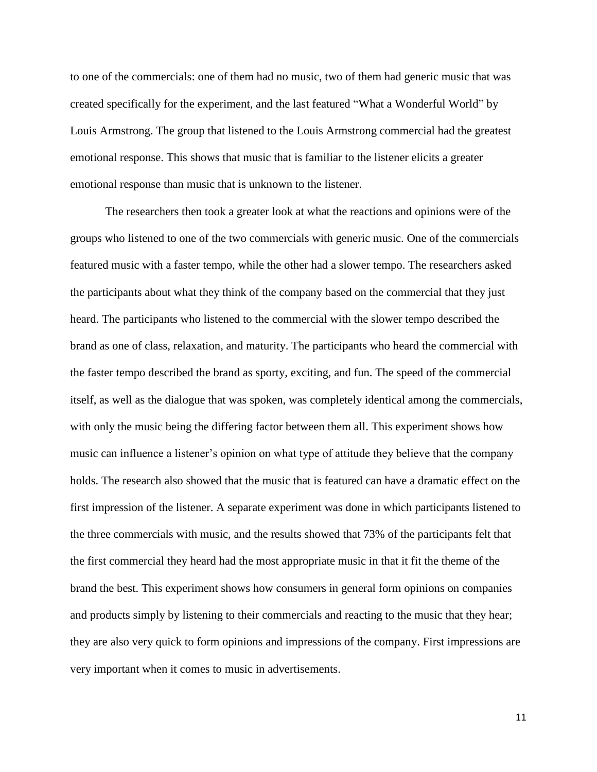to one of the commercials: one of them had no music, two of them had generic music that was created specifically for the experiment, and the last featured "What a Wonderful World" by Louis Armstrong. The group that listened to the Louis Armstrong commercial had the greatest emotional response. This shows that music that is familiar to the listener elicits a greater emotional response than music that is unknown to the listener.

The researchers then took a greater look at what the reactions and opinions were of the groups who listened to one of the two commercials with generic music. One of the commercials featured music with a faster tempo, while the other had a slower tempo. The researchers asked the participants about what they think of the company based on the commercial that they just heard. The participants who listened to the commercial with the slower tempo described the brand as one of class, relaxation, and maturity. The participants who heard the commercial with the faster tempo described the brand as sporty, exciting, and fun. The speed of the commercial itself, as well as the dialogue that was spoken, was completely identical among the commercials, with only the music being the differing factor between them all. This experiment shows how music can influence a listener's opinion on what type of attitude they believe that the company holds. The research also showed that the music that is featured can have a dramatic effect on the first impression of the listener. A separate experiment was done in which participants listened to the three commercials with music, and the results showed that 73% of the participants felt that the first commercial they heard had the most appropriate music in that it fit the theme of the brand the best. This experiment shows how consumers in general form opinions on companies and products simply by listening to their commercials and reacting to the music that they hear; they are also very quick to form opinions and impressions of the company. First impressions are very important when it comes to music in advertisements.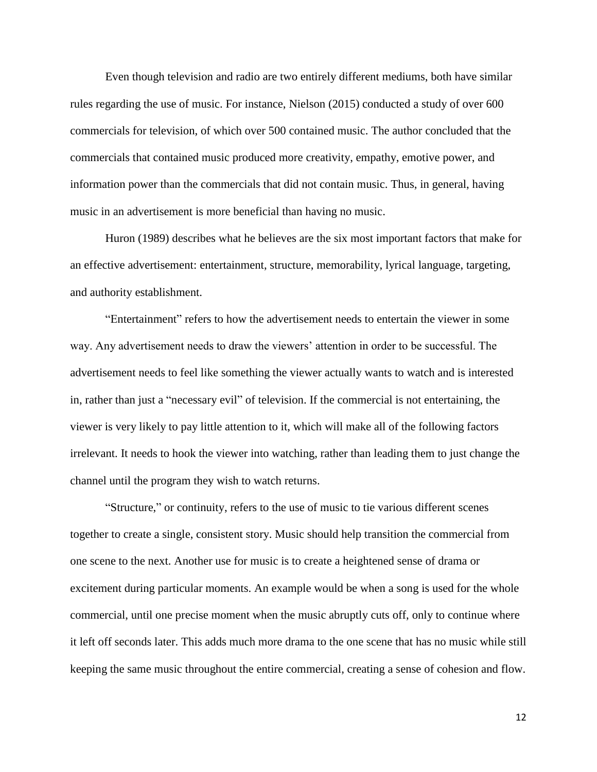Even though television and radio are two entirely different mediums, both have similar rules regarding the use of music. For instance, Nielson (2015) conducted a study of over 600 commercials for television, of which over 500 contained music. The author concluded that the commercials that contained music produced more creativity, empathy, emotive power, and information power than the commercials that did not contain music. Thus, in general, having music in an advertisement is more beneficial than having no music.

Huron (1989) describes what he believes are the six most important factors that make for an effective advertisement: entertainment, structure, memorability, lyrical language, targeting, and authority establishment.

"Entertainment" refers to how the advertisement needs to entertain the viewer in some way. Any advertisement needs to draw the viewers' attention in order to be successful. The advertisement needs to feel like something the viewer actually wants to watch and is interested in, rather than just a "necessary evil" of television. If the commercial is not entertaining, the viewer is very likely to pay little attention to it, which will make all of the following factors irrelevant. It needs to hook the viewer into watching, rather than leading them to just change the channel until the program they wish to watch returns.

"Structure," or continuity, refers to the use of music to tie various different scenes together to create a single, consistent story. Music should help transition the commercial from one scene to the next. Another use for music is to create a heightened sense of drama or excitement during particular moments. An example would be when a song is used for the whole commercial, until one precise moment when the music abruptly cuts off, only to continue where it left off seconds later. This adds much more drama to the one scene that has no music while still keeping the same music throughout the entire commercial, creating a sense of cohesion and flow.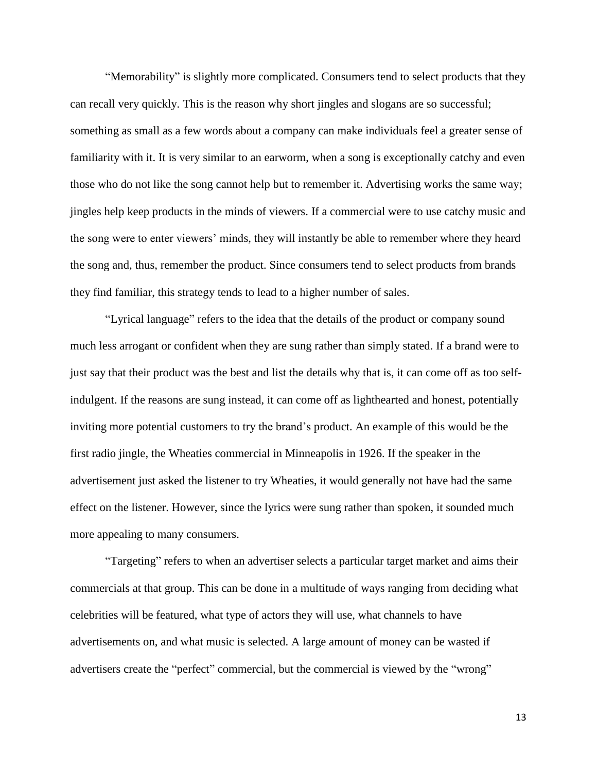"Memorability" is slightly more complicated. Consumers tend to select products that they can recall very quickly. This is the reason why short jingles and slogans are so successful; something as small as a few words about a company can make individuals feel a greater sense of familiarity with it. It is very similar to an earworm, when a song is exceptionally catchy and even those who do not like the song cannot help but to remember it. Advertising works the same way; jingles help keep products in the minds of viewers. If a commercial were to use catchy music and the song were to enter viewers' minds, they will instantly be able to remember where they heard the song and, thus, remember the product. Since consumers tend to select products from brands they find familiar, this strategy tends to lead to a higher number of sales.

"Lyrical language" refers to the idea that the details of the product or company sound much less arrogant or confident when they are sung rather than simply stated. If a brand were to just say that their product was the best and list the details why that is, it can come off as too selfindulgent. If the reasons are sung instead, it can come off as lighthearted and honest, potentially inviting more potential customers to try the brand's product. An example of this would be the first radio jingle, the Wheaties commercial in Minneapolis in 1926. If the speaker in the advertisement just asked the listener to try Wheaties, it would generally not have had the same effect on the listener. However, since the lyrics were sung rather than spoken, it sounded much more appealing to many consumers.

"Targeting" refers to when an advertiser selects a particular target market and aims their commercials at that group. This can be done in a multitude of ways ranging from deciding what celebrities will be featured, what type of actors they will use, what channels to have advertisements on, and what music is selected. A large amount of money can be wasted if advertisers create the "perfect" commercial, but the commercial is viewed by the "wrong"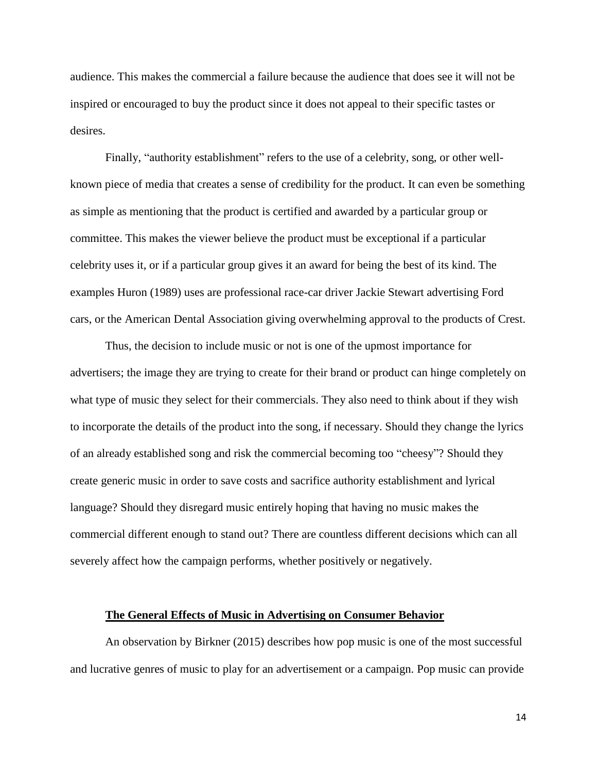audience. This makes the commercial a failure because the audience that does see it will not be inspired or encouraged to buy the product since it does not appeal to their specific tastes or desires.

Finally, "authority establishment" refers to the use of a celebrity, song, or other wellknown piece of media that creates a sense of credibility for the product. It can even be something as simple as mentioning that the product is certified and awarded by a particular group or committee. This makes the viewer believe the product must be exceptional if a particular celebrity uses it, or if a particular group gives it an award for being the best of its kind. The examples Huron (1989) uses are professional race-car driver Jackie Stewart advertising Ford cars, or the American Dental Association giving overwhelming approval to the products of Crest.

Thus, the decision to include music or not is one of the upmost importance for advertisers; the image they are trying to create for their brand or product can hinge completely on what type of music they select for their commercials. They also need to think about if they wish to incorporate the details of the product into the song, if necessary. Should they change the lyrics of an already established song and risk the commercial becoming too "cheesy"? Should they create generic music in order to save costs and sacrifice authority establishment and lyrical language? Should they disregard music entirely hoping that having no music makes the commercial different enough to stand out? There are countless different decisions which can all severely affect how the campaign performs, whether positively or negatively.

#### **The General Effects of Music in Advertising on Consumer Behavior**

An observation by Birkner (2015) describes how pop music is one of the most successful and lucrative genres of music to play for an advertisement or a campaign. Pop music can provide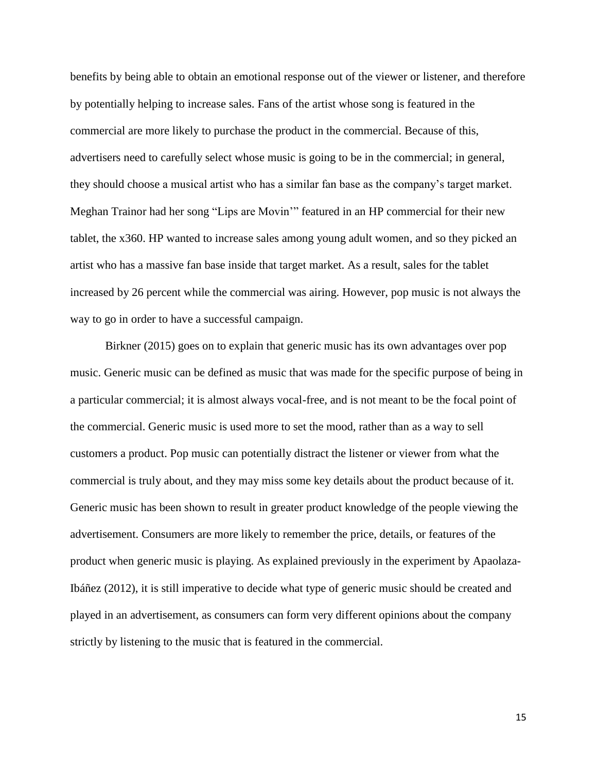benefits by being able to obtain an emotional response out of the viewer or listener, and therefore by potentially helping to increase sales. Fans of the artist whose song is featured in the commercial are more likely to purchase the product in the commercial. Because of this, advertisers need to carefully select whose music is going to be in the commercial; in general, they should choose a musical artist who has a similar fan base as the company's target market. Meghan Trainor had her song "Lips are Movin'" featured in an HP commercial for their new tablet, the x360. HP wanted to increase sales among young adult women, and so they picked an artist who has a massive fan base inside that target market. As a result, sales for the tablet increased by 26 percent while the commercial was airing. However, pop music is not always the way to go in order to have a successful campaign.

Birkner (2015) goes on to explain that generic music has its own advantages over pop music. Generic music can be defined as music that was made for the specific purpose of being in a particular commercial; it is almost always vocal-free, and is not meant to be the focal point of the commercial. Generic music is used more to set the mood, rather than as a way to sell customers a product. Pop music can potentially distract the listener or viewer from what the commercial is truly about, and they may miss some key details about the product because of it. Generic music has been shown to result in greater product knowledge of the people viewing the advertisement. Consumers are more likely to remember the price, details, or features of the product when generic music is playing. As explained previously in the experiment by Apaolaza-Ibáñez (2012), it is still imperative to decide what type of generic music should be created and played in an advertisement, as consumers can form very different opinions about the company strictly by listening to the music that is featured in the commercial.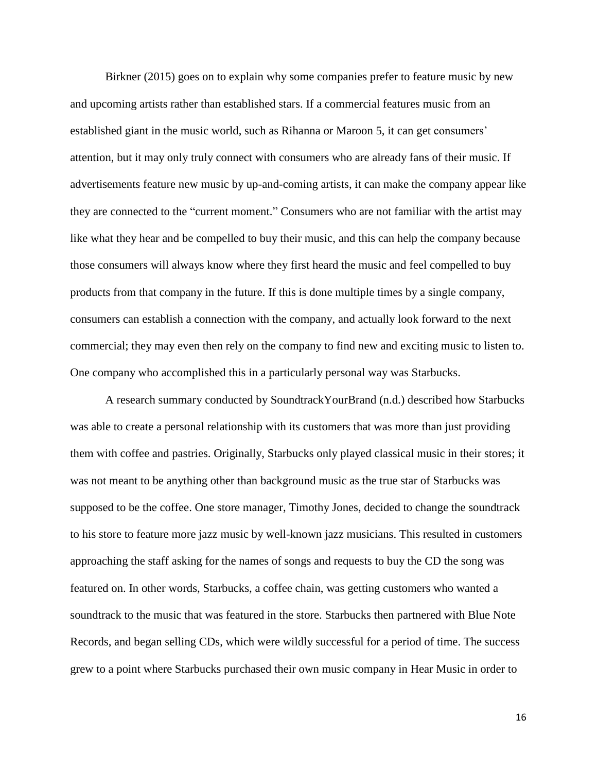Birkner (2015) goes on to explain why some companies prefer to feature music by new and upcoming artists rather than established stars. If a commercial features music from an established giant in the music world, such as Rihanna or Maroon 5, it can get consumers' attention, but it may only truly connect with consumers who are already fans of their music. If advertisements feature new music by up-and-coming artists, it can make the company appear like they are connected to the "current moment." Consumers who are not familiar with the artist may like what they hear and be compelled to buy their music, and this can help the company because those consumers will always know where they first heard the music and feel compelled to buy products from that company in the future. If this is done multiple times by a single company, consumers can establish a connection with the company, and actually look forward to the next commercial; they may even then rely on the company to find new and exciting music to listen to. One company who accomplished this in a particularly personal way was Starbucks.

A research summary conducted by SoundtrackYourBrand (n.d.) described how Starbucks was able to create a personal relationship with its customers that was more than just providing them with coffee and pastries. Originally, Starbucks only played classical music in their stores; it was not meant to be anything other than background music as the true star of Starbucks was supposed to be the coffee. One store manager, Timothy Jones, decided to change the soundtrack to his store to feature more jazz music by well-known jazz musicians. This resulted in customers approaching the staff asking for the names of songs and requests to buy the CD the song was featured on. In other words, Starbucks, a coffee chain, was getting customers who wanted a soundtrack to the music that was featured in the store. Starbucks then partnered with Blue Note Records, and began selling CDs, which were wildly successful for a period of time. The success grew to a point where Starbucks purchased their own music company in Hear Music in order to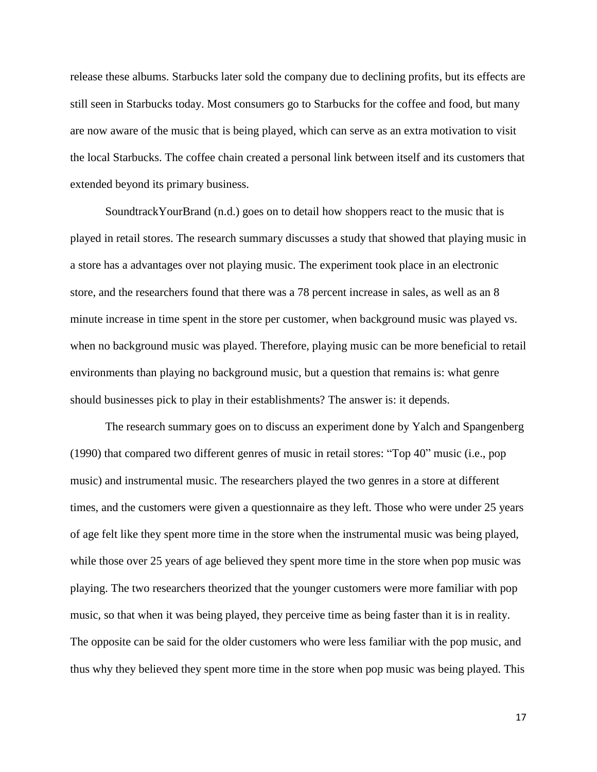release these albums. Starbucks later sold the company due to declining profits, but its effects are still seen in Starbucks today. Most consumers go to Starbucks for the coffee and food, but many are now aware of the music that is being played, which can serve as an extra motivation to visit the local Starbucks. The coffee chain created a personal link between itself and its customers that extended beyond its primary business.

SoundtrackYourBrand (n.d.) goes on to detail how shoppers react to the music that is played in retail stores. The research summary discusses a study that showed that playing music in a store has a advantages over not playing music. The experiment took place in an electronic store, and the researchers found that there was a 78 percent increase in sales, as well as an 8 minute increase in time spent in the store per customer, when background music was played vs. when no background music was played. Therefore, playing music can be more beneficial to retail environments than playing no background music, but a question that remains is: what genre should businesses pick to play in their establishments? The answer is: it depends.

The research summary goes on to discuss an experiment done by Yalch and Spangenberg (1990) that compared two different genres of music in retail stores: "Top 40" music (i.e., pop music) and instrumental music. The researchers played the two genres in a store at different times, and the customers were given a questionnaire as they left. Those who were under 25 years of age felt like they spent more time in the store when the instrumental music was being played, while those over 25 years of age believed they spent more time in the store when pop music was playing. The two researchers theorized that the younger customers were more familiar with pop music, so that when it was being played, they perceive time as being faster than it is in reality. The opposite can be said for the older customers who were less familiar with the pop music, and thus why they believed they spent more time in the store when pop music was being played. This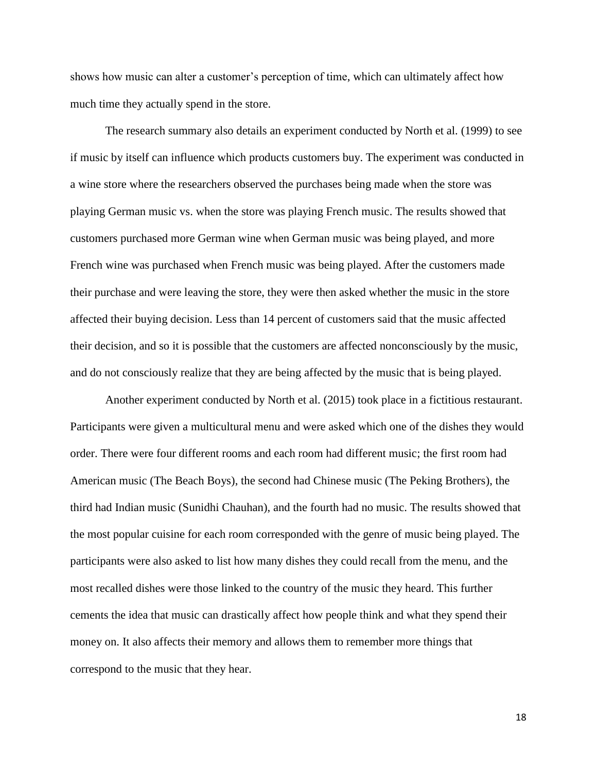shows how music can alter a customer's perception of time, which can ultimately affect how much time they actually spend in the store.

The research summary also details an experiment conducted by North et al. (1999) to see if music by itself can influence which products customers buy. The experiment was conducted in a wine store where the researchers observed the purchases being made when the store was playing German music vs. when the store was playing French music. The results showed that customers purchased more German wine when German music was being played, and more French wine was purchased when French music was being played. After the customers made their purchase and were leaving the store, they were then asked whether the music in the store affected their buying decision. Less than 14 percent of customers said that the music affected their decision, and so it is possible that the customers are affected nonconsciously by the music, and do not consciously realize that they are being affected by the music that is being played.

Another experiment conducted by North et al. (2015) took place in a fictitious restaurant. Participants were given a multicultural menu and were asked which one of the dishes they would order. There were four different rooms and each room had different music; the first room had American music (The Beach Boys), the second had Chinese music (The Peking Brothers), the third had Indian music (Sunidhi Chauhan), and the fourth had no music. The results showed that the most popular cuisine for each room corresponded with the genre of music being played. The participants were also asked to list how many dishes they could recall from the menu, and the most recalled dishes were those linked to the country of the music they heard. This further cements the idea that music can drastically affect how people think and what they spend their money on. It also affects their memory and allows them to remember more things that correspond to the music that they hear.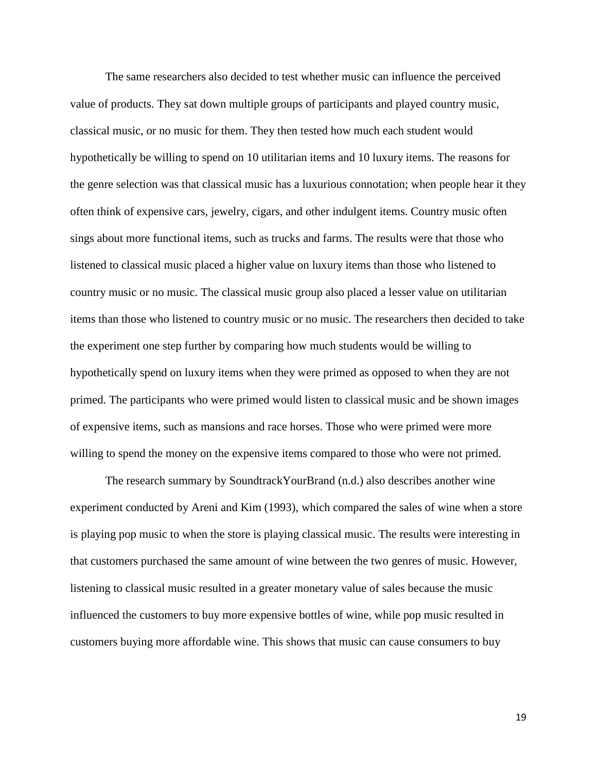The same researchers also decided to test whether music can influence the perceived value of products. They sat down multiple groups of participants and played country music, classical music, or no music for them. They then tested how much each student would hypothetically be willing to spend on 10 utilitarian items and 10 luxury items. The reasons for the genre selection was that classical music has a luxurious connotation; when people hear it they often think of expensive cars, jewelry, cigars, and other indulgent items. Country music often sings about more functional items, such as trucks and farms. The results were that those who listened to classical music placed a higher value on luxury items than those who listened to country music or no music. The classical music group also placed a lesser value on utilitarian items than those who listened to country music or no music. The researchers then decided to take the experiment one step further by comparing how much students would be willing to hypothetically spend on luxury items when they were primed as opposed to when they are not primed. The participants who were primed would listen to classical music and be shown images of expensive items, such as mansions and race horses. Those who were primed were more willing to spend the money on the expensive items compared to those who were not primed.

The research summary by SoundtrackYourBrand (n.d.) also describes another wine experiment conducted by Areni and Kim (1993), which compared the sales of wine when a store is playing pop music to when the store is playing classical music. The results were interesting in that customers purchased the same amount of wine between the two genres of music. However, listening to classical music resulted in a greater monetary value of sales because the music influenced the customers to buy more expensive bottles of wine, while pop music resulted in customers buying more affordable wine. This shows that music can cause consumers to buy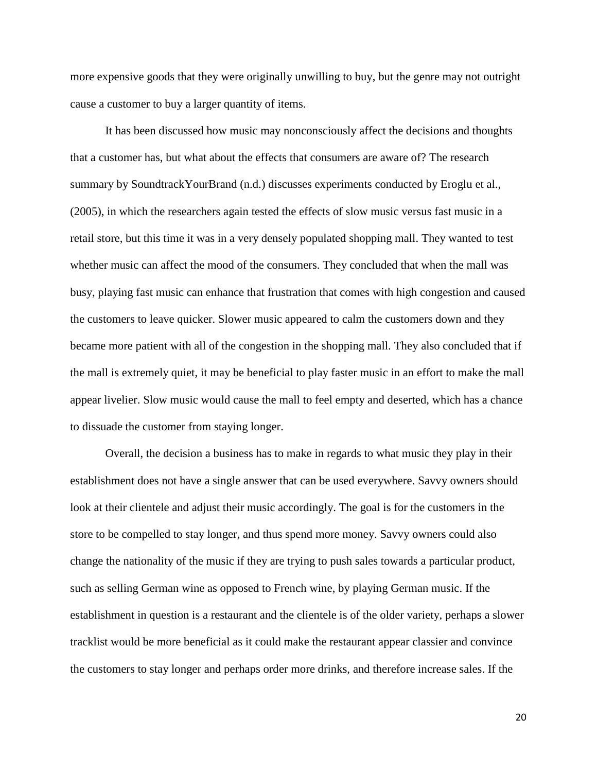more expensive goods that they were originally unwilling to buy, but the genre may not outright cause a customer to buy a larger quantity of items.

It has been discussed how music may nonconsciously affect the decisions and thoughts that a customer has, but what about the effects that consumers are aware of? The research summary by SoundtrackYourBrand (n.d.) discusses experiments conducted by Eroglu et al., (2005), in which the researchers again tested the effects of slow music versus fast music in a retail store, but this time it was in a very densely populated shopping mall. They wanted to test whether music can affect the mood of the consumers. They concluded that when the mall was busy, playing fast music can enhance that frustration that comes with high congestion and caused the customers to leave quicker. Slower music appeared to calm the customers down and they became more patient with all of the congestion in the shopping mall. They also concluded that if the mall is extremely quiet, it may be beneficial to play faster music in an effort to make the mall appear livelier. Slow music would cause the mall to feel empty and deserted, which has a chance to dissuade the customer from staying longer.

Overall, the decision a business has to make in regards to what music they play in their establishment does not have a single answer that can be used everywhere. Savvy owners should look at their clientele and adjust their music accordingly. The goal is for the customers in the store to be compelled to stay longer, and thus spend more money. Savvy owners could also change the nationality of the music if they are trying to push sales towards a particular product, such as selling German wine as opposed to French wine, by playing German music. If the establishment in question is a restaurant and the clientele is of the older variety, perhaps a slower tracklist would be more beneficial as it could make the restaurant appear classier and convince the customers to stay longer and perhaps order more drinks, and therefore increase sales. If the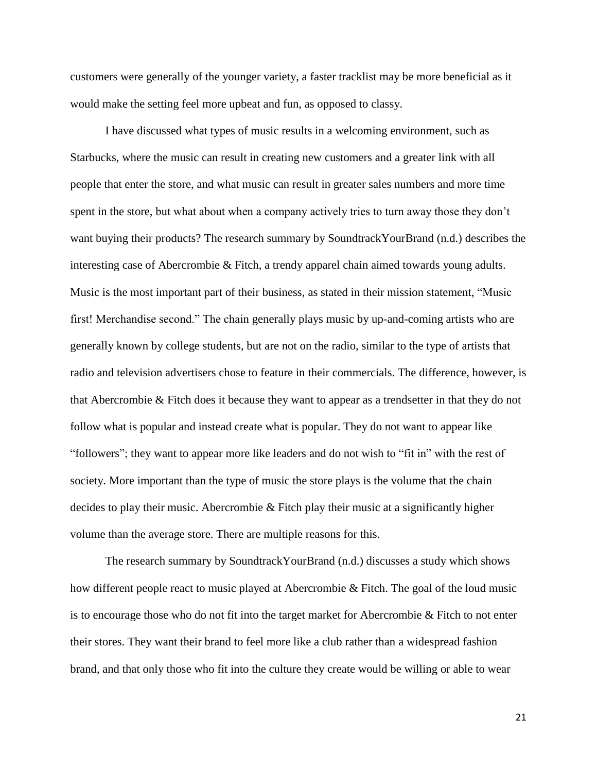customers were generally of the younger variety, a faster tracklist may be more beneficial as it would make the setting feel more upbeat and fun, as opposed to classy.

I have discussed what types of music results in a welcoming environment, such as Starbucks, where the music can result in creating new customers and a greater link with all people that enter the store, and what music can result in greater sales numbers and more time spent in the store, but what about when a company actively tries to turn away those they don't want buying their products? The research summary by SoundtrackYourBrand (n.d.) describes the interesting case of Abercrombie & Fitch, a trendy apparel chain aimed towards young adults. Music is the most important part of their business, as stated in their mission statement, "Music first! Merchandise second." The chain generally plays music by up-and-coming artists who are generally known by college students, but are not on the radio, similar to the type of artists that radio and television advertisers chose to feature in their commercials. The difference, however, is that Abercrombie & Fitch does it because they want to appear as a trendsetter in that they do not follow what is popular and instead create what is popular. They do not want to appear like "followers"; they want to appear more like leaders and do not wish to "fit in" with the rest of society. More important than the type of music the store plays is the volume that the chain decides to play their music. Abercrombie & Fitch play their music at a significantly higher volume than the average store. There are multiple reasons for this.

The research summary by SoundtrackYourBrand (n.d.) discusses a study which shows how different people react to music played at Abercrombie & Fitch. The goal of the loud music is to encourage those who do not fit into the target market for Abercrombie & Fitch to not enter their stores. They want their brand to feel more like a club rather than a widespread fashion brand, and that only those who fit into the culture they create would be willing or able to wear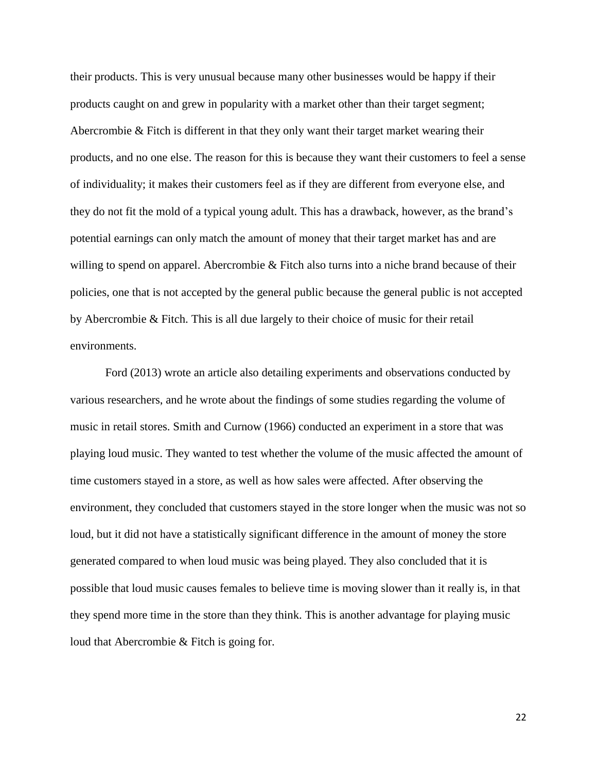their products. This is very unusual because many other businesses would be happy if their products caught on and grew in popularity with a market other than their target segment; Abercrombie & Fitch is different in that they only want their target market wearing their products, and no one else. The reason for this is because they want their customers to feel a sense of individuality; it makes their customers feel as if they are different from everyone else, and they do not fit the mold of a typical young adult. This has a drawback, however, as the brand's potential earnings can only match the amount of money that their target market has and are willing to spend on apparel. Abercrombie & Fitch also turns into a niche brand because of their policies, one that is not accepted by the general public because the general public is not accepted by Abercrombie & Fitch. This is all due largely to their choice of music for their retail environments.

Ford (2013) wrote an article also detailing experiments and observations conducted by various researchers, and he wrote about the findings of some studies regarding the volume of music in retail stores. Smith and Curnow (1966) conducted an experiment in a store that was playing loud music. They wanted to test whether the volume of the music affected the amount of time customers stayed in a store, as well as how sales were affected. After observing the environment, they concluded that customers stayed in the store longer when the music was not so loud, but it did not have a statistically significant difference in the amount of money the store generated compared to when loud music was being played. They also concluded that it is possible that loud music causes females to believe time is moving slower than it really is, in that they spend more time in the store than they think. This is another advantage for playing music loud that Abercrombie & Fitch is going for.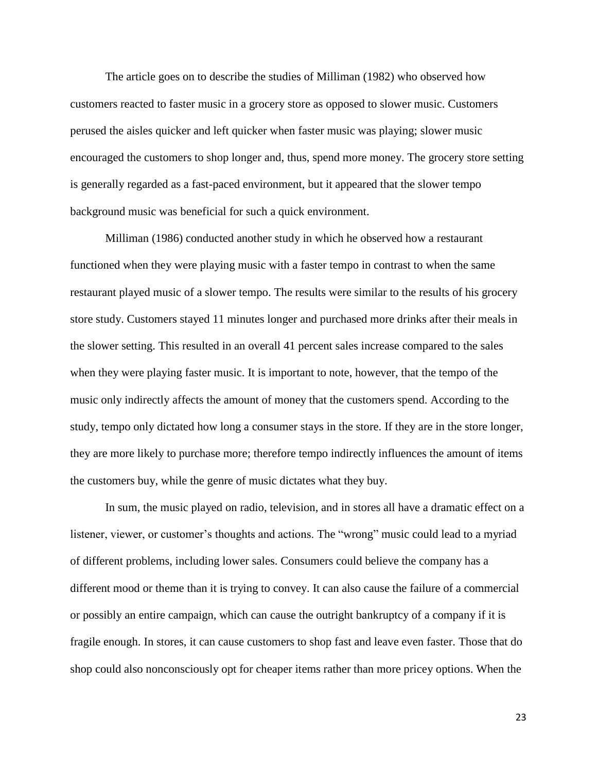The article goes on to describe the studies of Milliman (1982) who observed how customers reacted to faster music in a grocery store as opposed to slower music. Customers perused the aisles quicker and left quicker when faster music was playing; slower music encouraged the customers to shop longer and, thus, spend more money. The grocery store setting is generally regarded as a fast-paced environment, but it appeared that the slower tempo background music was beneficial for such a quick environment.

Milliman (1986) conducted another study in which he observed how a restaurant functioned when they were playing music with a faster tempo in contrast to when the same restaurant played music of a slower tempo. The results were similar to the results of his grocery store study. Customers stayed 11 minutes longer and purchased more drinks after their meals in the slower setting. This resulted in an overall 41 percent sales increase compared to the sales when they were playing faster music. It is important to note, however, that the tempo of the music only indirectly affects the amount of money that the customers spend. According to the study, tempo only dictated how long a consumer stays in the store. If they are in the store longer, they are more likely to purchase more; therefore tempo indirectly influences the amount of items the customers buy, while the genre of music dictates what they buy.

In sum, the music played on radio, television, and in stores all have a dramatic effect on a listener, viewer, or customer's thoughts and actions. The "wrong" music could lead to a myriad of different problems, including lower sales. Consumers could believe the company has a different mood or theme than it is trying to convey. It can also cause the failure of a commercial or possibly an entire campaign, which can cause the outright bankruptcy of a company if it is fragile enough. In stores, it can cause customers to shop fast and leave even faster. Those that do shop could also nonconsciously opt for cheaper items rather than more pricey options. When the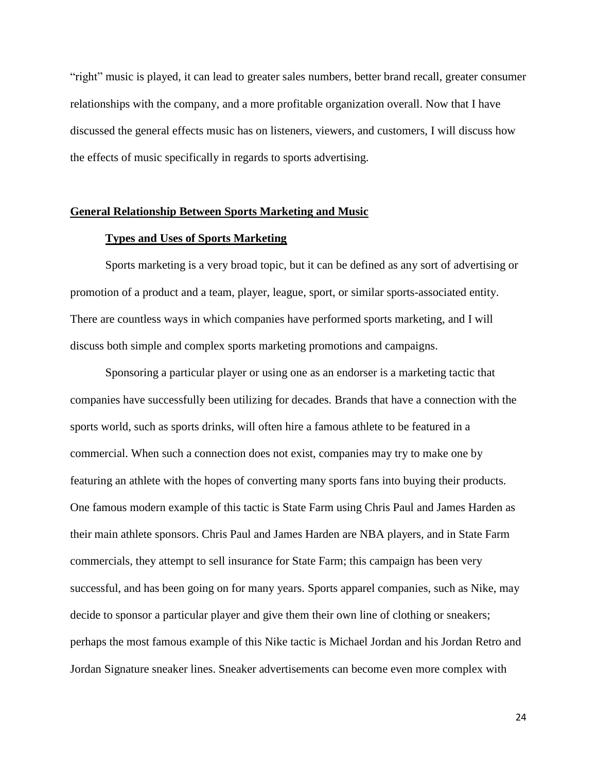"right" music is played, it can lead to greater sales numbers, better brand recall, greater consumer relationships with the company, and a more profitable organization overall. Now that I have discussed the general effects music has on listeners, viewers, and customers, I will discuss how the effects of music specifically in regards to sports advertising.

#### **General Relationship Between Sports Marketing and Music**

#### **Types and Uses of Sports Marketing**

Sports marketing is a very broad topic, but it can be defined as any sort of advertising or promotion of a product and a team, player, league, sport, or similar sports-associated entity. There are countless ways in which companies have performed sports marketing, and I will discuss both simple and complex sports marketing promotions and campaigns.

Sponsoring a particular player or using one as an endorser is a marketing tactic that companies have successfully been utilizing for decades. Brands that have a connection with the sports world, such as sports drinks, will often hire a famous athlete to be featured in a commercial. When such a connection does not exist, companies may try to make one by featuring an athlete with the hopes of converting many sports fans into buying their products. One famous modern example of this tactic is State Farm using Chris Paul and James Harden as their main athlete sponsors. Chris Paul and James Harden are NBA players, and in State Farm commercials, they attempt to sell insurance for State Farm; this campaign has been very successful, and has been going on for many years. Sports apparel companies, such as Nike, may decide to sponsor a particular player and give them their own line of clothing or sneakers; perhaps the most famous example of this Nike tactic is Michael Jordan and his Jordan Retro and Jordan Signature sneaker lines. Sneaker advertisements can become even more complex with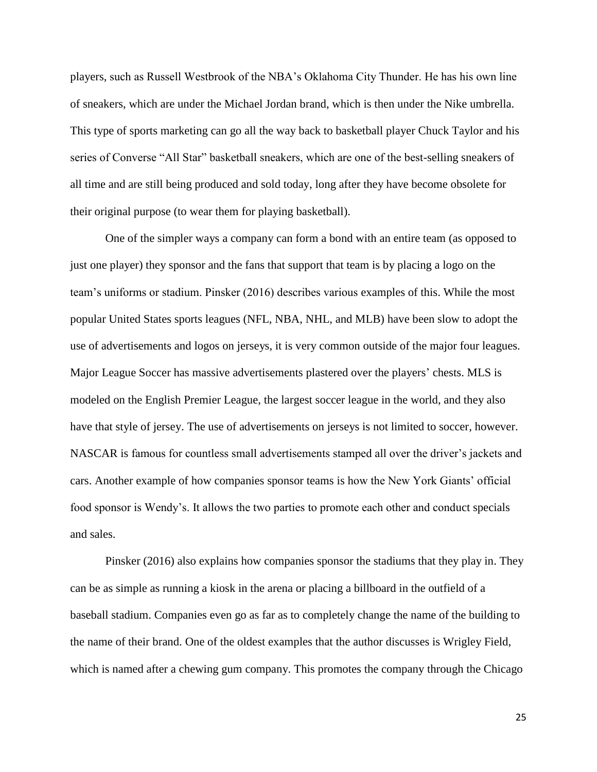players, such as Russell Westbrook of the NBA's Oklahoma City Thunder. He has his own line of sneakers, which are under the Michael Jordan brand, which is then under the Nike umbrella. This type of sports marketing can go all the way back to basketball player Chuck Taylor and his series of Converse "All Star" basketball sneakers, which are one of the best-selling sneakers of all time and are still being produced and sold today, long after they have become obsolete for their original purpose (to wear them for playing basketball).

One of the simpler ways a company can form a bond with an entire team (as opposed to just one player) they sponsor and the fans that support that team is by placing a logo on the team's uniforms or stadium. Pinsker (2016) describes various examples of this. While the most popular United States sports leagues (NFL, NBA, NHL, and MLB) have been slow to adopt the use of advertisements and logos on jerseys, it is very common outside of the major four leagues. Major League Soccer has massive advertisements plastered over the players' chests. MLS is modeled on the English Premier League, the largest soccer league in the world, and they also have that style of jersey. The use of advertisements on jerseys is not limited to soccer, however. NASCAR is famous for countless small advertisements stamped all over the driver's jackets and cars. Another example of how companies sponsor teams is how the New York Giants' official food sponsor is Wendy's. It allows the two parties to promote each other and conduct specials and sales.

Pinsker (2016) also explains how companies sponsor the stadiums that they play in. They can be as simple as running a kiosk in the arena or placing a billboard in the outfield of a baseball stadium. Companies even go as far as to completely change the name of the building to the name of their brand. One of the oldest examples that the author discusses is Wrigley Field, which is named after a chewing gum company. This promotes the company through the Chicago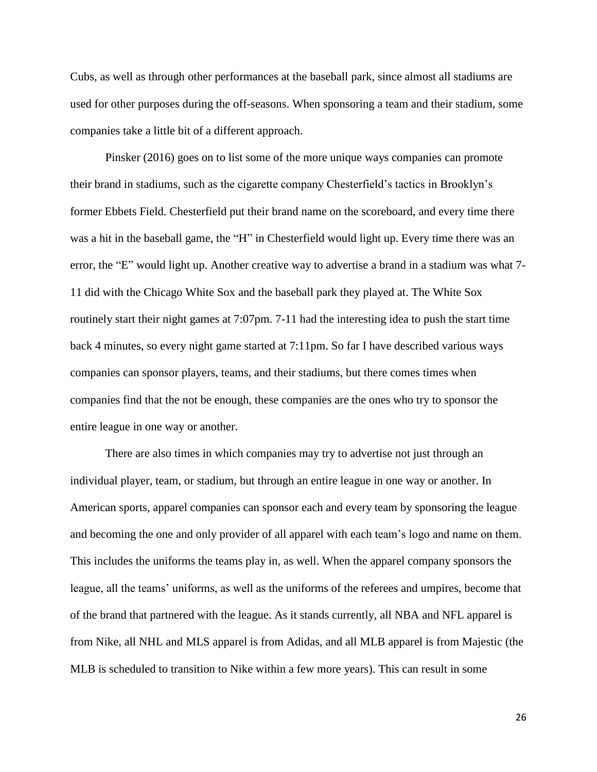Cubs, as well as through other performances at the baseball park, since almost all stadiums are used for other purposes during the off-seasons. When sponsoring a team and their stadium, some companies take a little bit of a different approach.

Pinsker (2016) goes on to list some of the more unique ways companies can promote their brand in stadiums, such as the cigarette company Chesterfield's tactics in Brooklyn's former Ebbets Field. Chesterfield put their brand name on the scoreboard, and every time there was a hit in the baseball game, the "H" in Chesterfield would light up. Every time there was an error, the "E" would light up. Another creative way to advertise a brand in a stadium was what 7- 11 did with the Chicago White Sox and the baseball park they played at. The White Sox routinely start their night games at 7:07pm. 7-11 had the interesting idea to push the start time back 4 minutes, so every night game started at 7:11pm. So far I have described various ways companies can sponsor players, teams, and their stadiums, but there comes times when companies find that the not be enough, these companies are the ones who try to sponsor the entire league in one way or another.

There are also times in which companies may try to advertise not just through an individual player, team, or stadium, but through an entire league in one way or another. In American sports, apparel companies can sponsor each and every team by sponsoring the league and becoming the one and only provider of all apparel with each team's logo and name on them. This includes the uniforms the teams play in, as well. When the apparel company sponsors the league, all the teams' uniforms, as well as the uniforms of the referees and umpires, become that of the brand that partnered with the league. As it stands currently, all NBA and NFL apparel is from Nike, all NHL and MLS apparel is from Adidas, and all MLB apparel is from Majestic (the MLB is scheduled to transition to Nike within a few more years). This can result in some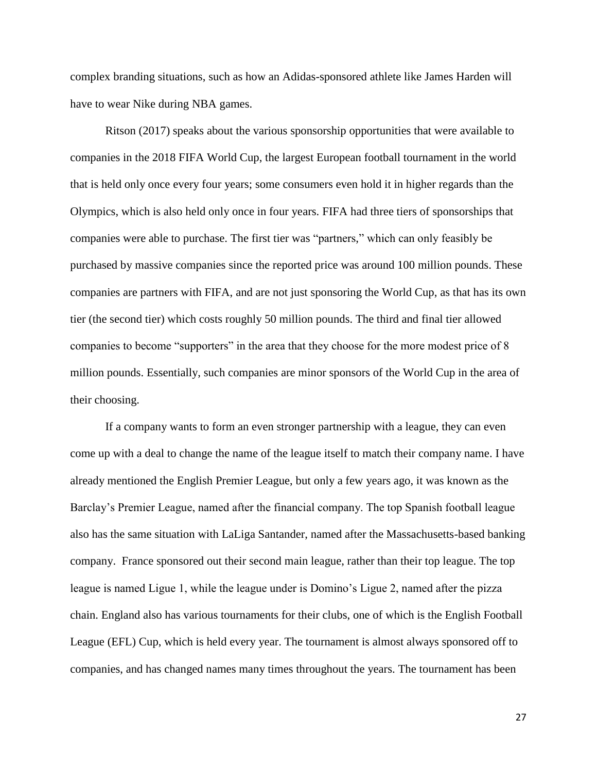complex branding situations, such as how an Adidas-sponsored athlete like James Harden will have to wear Nike during NBA games.

Ritson (2017) speaks about the various sponsorship opportunities that were available to companies in the 2018 FIFA World Cup, the largest European football tournament in the world that is held only once every four years; some consumers even hold it in higher regards than the Olympics, which is also held only once in four years. FIFA had three tiers of sponsorships that companies were able to purchase. The first tier was "partners," which can only feasibly be purchased by massive companies since the reported price was around 100 million pounds. These companies are partners with FIFA, and are not just sponsoring the World Cup, as that has its own tier (the second tier) which costs roughly 50 million pounds. The third and final tier allowed companies to become "supporters" in the area that they choose for the more modest price of 8 million pounds. Essentially, such companies are minor sponsors of the World Cup in the area of their choosing.

If a company wants to form an even stronger partnership with a league, they can even come up with a deal to change the name of the league itself to match their company name. I have already mentioned the English Premier League, but only a few years ago, it was known as the Barclay's Premier League, named after the financial company. The top Spanish football league also has the same situation with LaLiga Santander, named after the Massachusetts-based banking company. France sponsored out their second main league, rather than their top league. The top league is named Ligue 1, while the league under is Domino's Ligue 2, named after the pizza chain. England also has various tournaments for their clubs, one of which is the English Football League (EFL) Cup, which is held every year. The tournament is almost always sponsored off to companies, and has changed names many times throughout the years. The tournament has been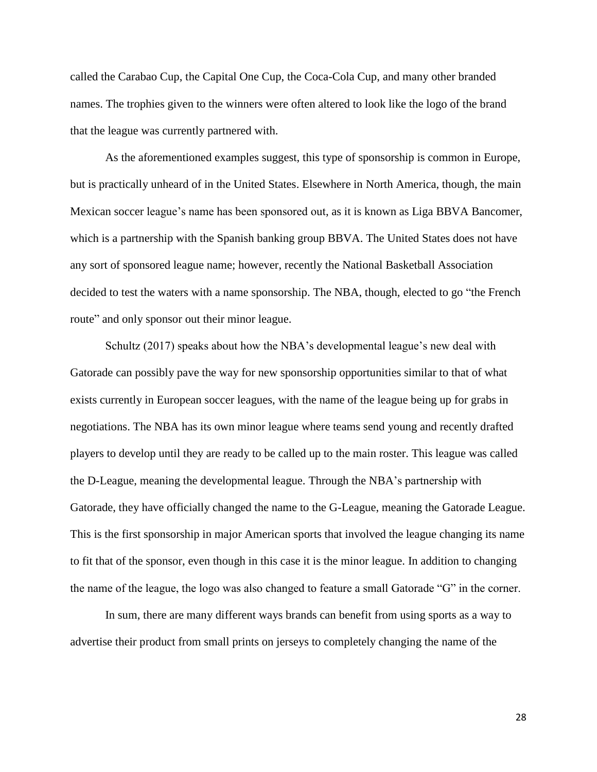called the Carabao Cup, the Capital One Cup, the Coca-Cola Cup, and many other branded names. The trophies given to the winners were often altered to look like the logo of the brand that the league was currently partnered with.

As the aforementioned examples suggest, this type of sponsorship is common in Europe, but is practically unheard of in the United States. Elsewhere in North America, though, the main Mexican soccer league's name has been sponsored out, as it is known as Liga BBVA Bancomer, which is a partnership with the Spanish banking group BBVA. The United States does not have any sort of sponsored league name; however, recently the National Basketball Association decided to test the waters with a name sponsorship. The NBA, though, elected to go "the French route" and only sponsor out their minor league.

Schultz (2017) speaks about how the NBA's developmental league's new deal with Gatorade can possibly pave the way for new sponsorship opportunities similar to that of what exists currently in European soccer leagues, with the name of the league being up for grabs in negotiations. The NBA has its own minor league where teams send young and recently drafted players to develop until they are ready to be called up to the main roster. This league was called the D-League, meaning the developmental league. Through the NBA's partnership with Gatorade, they have officially changed the name to the G-League, meaning the Gatorade League. This is the first sponsorship in major American sports that involved the league changing its name to fit that of the sponsor, even though in this case it is the minor league. In addition to changing the name of the league, the logo was also changed to feature a small Gatorade "G" in the corner.

In sum, there are many different ways brands can benefit from using sports as a way to advertise their product from small prints on jerseys to completely changing the name of the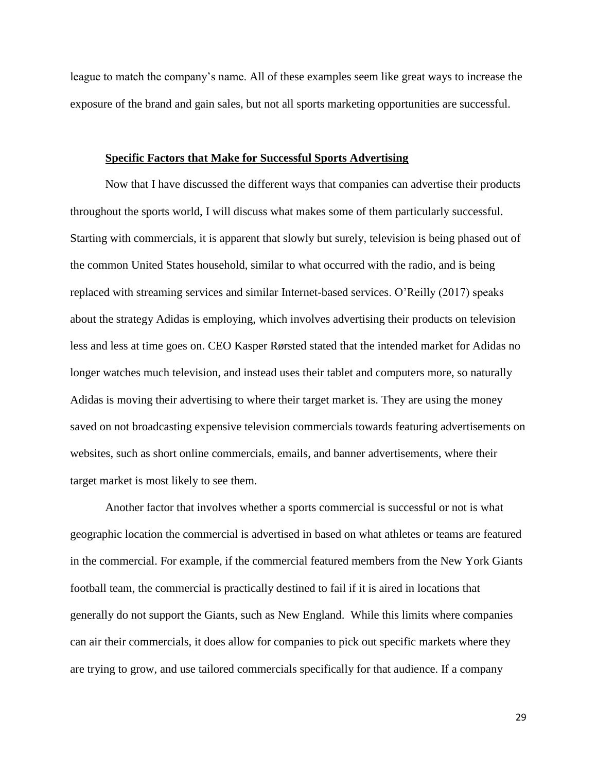league to match the company's name. All of these examples seem like great ways to increase the exposure of the brand and gain sales, but not all sports marketing opportunities are successful.

#### **Specific Factors that Make for Successful Sports Advertising**

Now that I have discussed the different ways that companies can advertise their products throughout the sports world, I will discuss what makes some of them particularly successful. Starting with commercials, it is apparent that slowly but surely, television is being phased out of the common United States household, similar to what occurred with the radio, and is being replaced with streaming services and similar Internet-based services. O'Reilly (2017) speaks about the strategy Adidas is employing, which involves advertising their products on television less and less at time goes on. CEO Kasper Rørsted stated that the intended market for Adidas no longer watches much television, and instead uses their tablet and computers more, so naturally Adidas is moving their advertising to where their target market is. They are using the money saved on not broadcasting expensive television commercials towards featuring advertisements on websites, such as short online commercials, emails, and banner advertisements, where their target market is most likely to see them.

Another factor that involves whether a sports commercial is successful or not is what geographic location the commercial is advertised in based on what athletes or teams are featured in the commercial. For example, if the commercial featured members from the New York Giants football team, the commercial is practically destined to fail if it is aired in locations that generally do not support the Giants, such as New England. While this limits where companies can air their commercials, it does allow for companies to pick out specific markets where they are trying to grow, and use tailored commercials specifically for that audience. If a company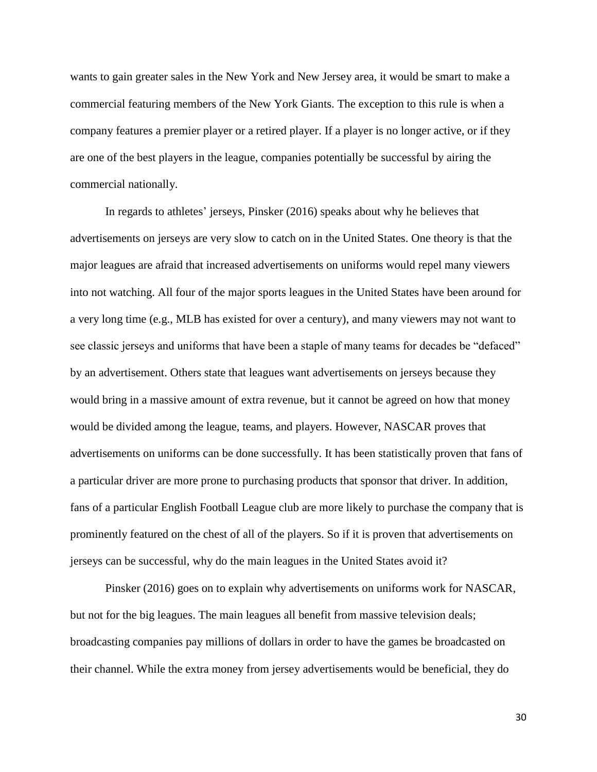wants to gain greater sales in the New York and New Jersey area, it would be smart to make a commercial featuring members of the New York Giants. The exception to this rule is when a company features a premier player or a retired player. If a player is no longer active, or if they are one of the best players in the league, companies potentially be successful by airing the commercial nationally.

In regards to athletes' jerseys, Pinsker (2016) speaks about why he believes that advertisements on jerseys are very slow to catch on in the United States. One theory is that the major leagues are afraid that increased advertisements on uniforms would repel many viewers into not watching. All four of the major sports leagues in the United States have been around for a very long time (e.g., MLB has existed for over a century), and many viewers may not want to see classic jerseys and uniforms that have been a staple of many teams for decades be "defaced" by an advertisement. Others state that leagues want advertisements on jerseys because they would bring in a massive amount of extra revenue, but it cannot be agreed on how that money would be divided among the league, teams, and players. However, NASCAR proves that advertisements on uniforms can be done successfully. It has been statistically proven that fans of a particular driver are more prone to purchasing products that sponsor that driver. In addition, fans of a particular English Football League club are more likely to purchase the company that is prominently featured on the chest of all of the players. So if it is proven that advertisements on jerseys can be successful, why do the main leagues in the United States avoid it?

Pinsker (2016) goes on to explain why advertisements on uniforms work for NASCAR, but not for the big leagues. The main leagues all benefit from massive television deals; broadcasting companies pay millions of dollars in order to have the games be broadcasted on their channel. While the extra money from jersey advertisements would be beneficial, they do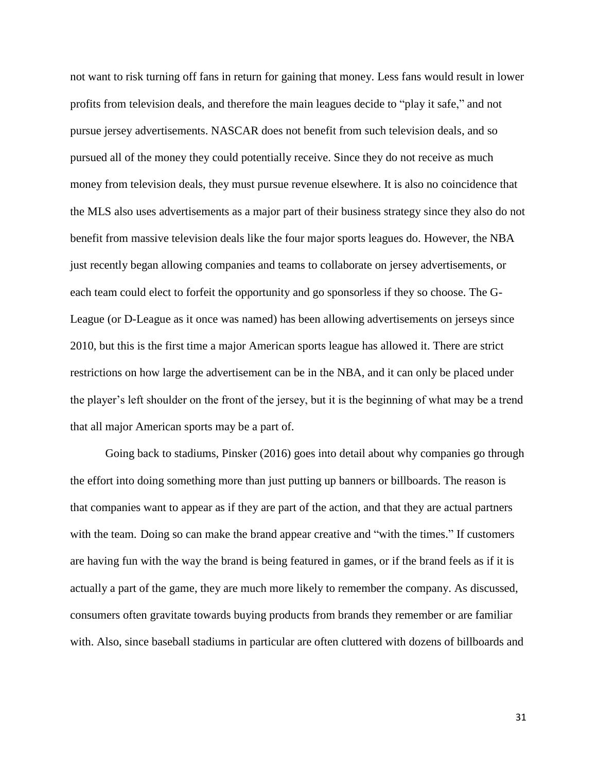not want to risk turning off fans in return for gaining that money. Less fans would result in lower profits from television deals, and therefore the main leagues decide to "play it safe," and not pursue jersey advertisements. NASCAR does not benefit from such television deals, and so pursued all of the money they could potentially receive. Since they do not receive as much money from television deals, they must pursue revenue elsewhere. It is also no coincidence that the MLS also uses advertisements as a major part of their business strategy since they also do not benefit from massive television deals like the four major sports leagues do. However, the NBA just recently began allowing companies and teams to collaborate on jersey advertisements, or each team could elect to forfeit the opportunity and go sponsorless if they so choose. The G-League (or D-League as it once was named) has been allowing advertisements on jerseys since 2010, but this is the first time a major American sports league has allowed it. There are strict restrictions on how large the advertisement can be in the NBA, and it can only be placed under the player's left shoulder on the front of the jersey, but it is the beginning of what may be a trend that all major American sports may be a part of.

Going back to stadiums, Pinsker (2016) goes into detail about why companies go through the effort into doing something more than just putting up banners or billboards. The reason is that companies want to appear as if they are part of the action, and that they are actual partners with the team. Doing so can make the brand appear creative and "with the times." If customers are having fun with the way the brand is being featured in games, or if the brand feels as if it is actually a part of the game, they are much more likely to remember the company. As discussed, consumers often gravitate towards buying products from brands they remember or are familiar with. Also, since baseball stadiums in particular are often cluttered with dozens of billboards and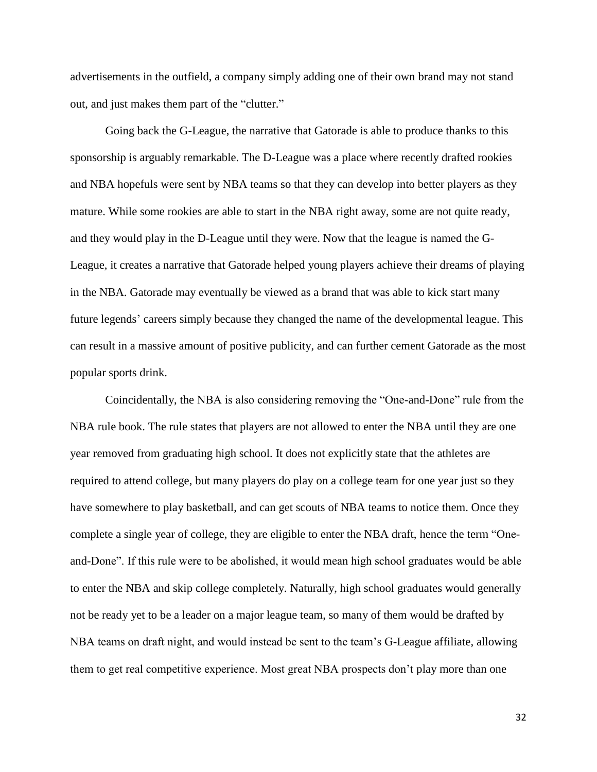advertisements in the outfield, a company simply adding one of their own brand may not stand out, and just makes them part of the "clutter."

Going back the G-League, the narrative that Gatorade is able to produce thanks to this sponsorship is arguably remarkable. The D-League was a place where recently drafted rookies and NBA hopefuls were sent by NBA teams so that they can develop into better players as they mature. While some rookies are able to start in the NBA right away, some are not quite ready, and they would play in the D-League until they were. Now that the league is named the G-League, it creates a narrative that Gatorade helped young players achieve their dreams of playing in the NBA. Gatorade may eventually be viewed as a brand that was able to kick start many future legends' careers simply because they changed the name of the developmental league. This can result in a massive amount of positive publicity, and can further cement Gatorade as the most popular sports drink.

Coincidentally, the NBA is also considering removing the "One-and-Done" rule from the NBA rule book. The rule states that players are not allowed to enter the NBA until they are one year removed from graduating high school. It does not explicitly state that the athletes are required to attend college, but many players do play on a college team for one year just so they have somewhere to play basketball, and can get scouts of NBA teams to notice them. Once they complete a single year of college, they are eligible to enter the NBA draft, hence the term "Oneand-Done". If this rule were to be abolished, it would mean high school graduates would be able to enter the NBA and skip college completely. Naturally, high school graduates would generally not be ready yet to be a leader on a major league team, so many of them would be drafted by NBA teams on draft night, and would instead be sent to the team's G-League affiliate, allowing them to get real competitive experience. Most great NBA prospects don't play more than one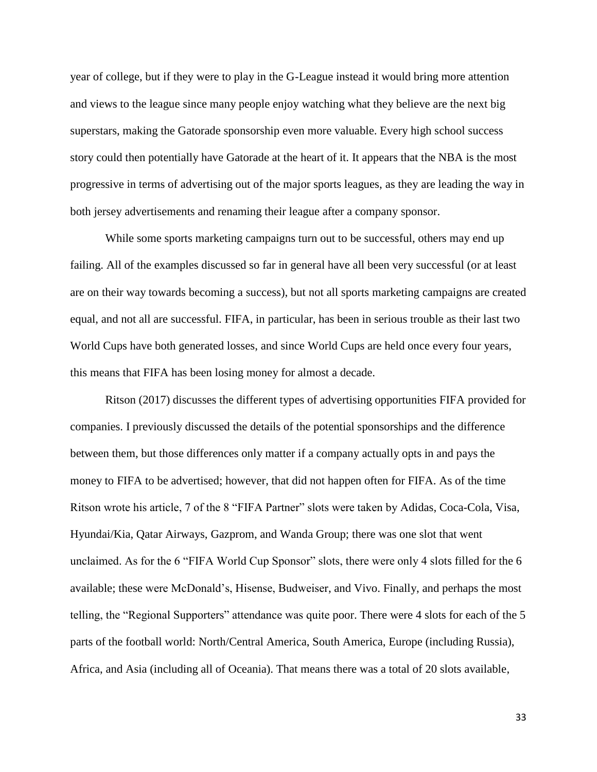year of college, but if they were to play in the G-League instead it would bring more attention and views to the league since many people enjoy watching what they believe are the next big superstars, making the Gatorade sponsorship even more valuable. Every high school success story could then potentially have Gatorade at the heart of it. It appears that the NBA is the most progressive in terms of advertising out of the major sports leagues, as they are leading the way in both jersey advertisements and renaming their league after a company sponsor.

While some sports marketing campaigns turn out to be successful, others may end up failing. All of the examples discussed so far in general have all been very successful (or at least are on their way towards becoming a success), but not all sports marketing campaigns are created equal, and not all are successful. FIFA, in particular, has been in serious trouble as their last two World Cups have both generated losses, and since World Cups are held once every four years, this means that FIFA has been losing money for almost a decade.

Ritson (2017) discusses the different types of advertising opportunities FIFA provided for companies. I previously discussed the details of the potential sponsorships and the difference between them, but those differences only matter if a company actually opts in and pays the money to FIFA to be advertised; however, that did not happen often for FIFA. As of the time Ritson wrote his article, 7 of the 8 "FIFA Partner" slots were taken by Adidas, Coca-Cola, Visa, Hyundai/Kia, Qatar Airways, Gazprom, and Wanda Group; there was one slot that went unclaimed. As for the 6 "FIFA World Cup Sponsor" slots, there were only 4 slots filled for the 6 available; these were McDonald's, Hisense, Budweiser, and Vivo. Finally, and perhaps the most telling, the "Regional Supporters" attendance was quite poor. There were 4 slots for each of the 5 parts of the football world: North/Central America, South America, Europe (including Russia), Africa, and Asia (including all of Oceania). That means there was a total of 20 slots available,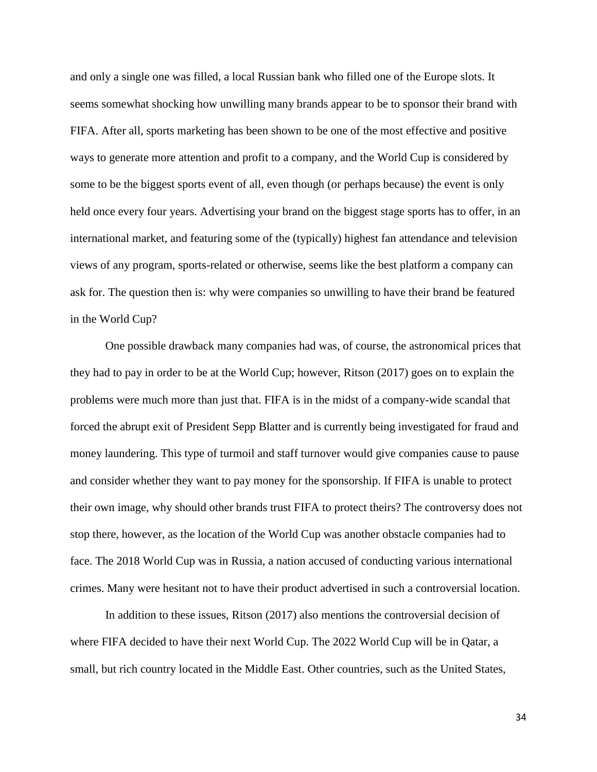and only a single one was filled, a local Russian bank who filled one of the Europe slots. It seems somewhat shocking how unwilling many brands appear to be to sponsor their brand with FIFA. After all, sports marketing has been shown to be one of the most effective and positive ways to generate more attention and profit to a company, and the World Cup is considered by some to be the biggest sports event of all, even though (or perhaps because) the event is only held once every four years. Advertising your brand on the biggest stage sports has to offer, in an international market, and featuring some of the (typically) highest fan attendance and television views of any program, sports-related or otherwise, seems like the best platform a company can ask for. The question then is: why were companies so unwilling to have their brand be featured in the World Cup?

One possible drawback many companies had was, of course, the astronomical prices that they had to pay in order to be at the World Cup; however, Ritson (2017) goes on to explain the problems were much more than just that. FIFA is in the midst of a company-wide scandal that forced the abrupt exit of President Sepp Blatter and is currently being investigated for fraud and money laundering. This type of turmoil and staff turnover would give companies cause to pause and consider whether they want to pay money for the sponsorship. If FIFA is unable to protect their own image, why should other brands trust FIFA to protect theirs? The controversy does not stop there, however, as the location of the World Cup was another obstacle companies had to face. The 2018 World Cup was in Russia, a nation accused of conducting various international crimes. Many were hesitant not to have their product advertised in such a controversial location.

In addition to these issues, Ritson (2017) also mentions the controversial decision of where FIFA decided to have their next World Cup. The 2022 World Cup will be in Qatar, a small, but rich country located in the Middle East. Other countries, such as the United States,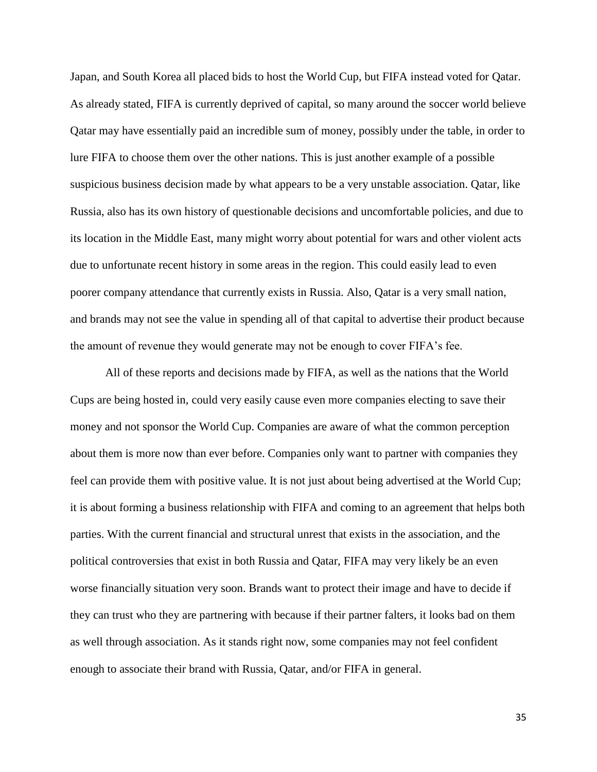Japan, and South Korea all placed bids to host the World Cup, but FIFA instead voted for Qatar. As already stated, FIFA is currently deprived of capital, so many around the soccer world believe Qatar may have essentially paid an incredible sum of money, possibly under the table, in order to lure FIFA to choose them over the other nations. This is just another example of a possible suspicious business decision made by what appears to be a very unstable association. Qatar, like Russia, also has its own history of questionable decisions and uncomfortable policies, and due to its location in the Middle East, many might worry about potential for wars and other violent acts due to unfortunate recent history in some areas in the region. This could easily lead to even poorer company attendance that currently exists in Russia. Also, Qatar is a very small nation, and brands may not see the value in spending all of that capital to advertise their product because the amount of revenue they would generate may not be enough to cover FIFA's fee.

All of these reports and decisions made by FIFA, as well as the nations that the World Cups are being hosted in, could very easily cause even more companies electing to save their money and not sponsor the World Cup. Companies are aware of what the common perception about them is more now than ever before. Companies only want to partner with companies they feel can provide them with positive value. It is not just about being advertised at the World Cup; it is about forming a business relationship with FIFA and coming to an agreement that helps both parties. With the current financial and structural unrest that exists in the association, and the political controversies that exist in both Russia and Qatar, FIFA may very likely be an even worse financially situation very soon. Brands want to protect their image and have to decide if they can trust who they are partnering with because if their partner falters, it looks bad on them as well through association. As it stands right now, some companies may not feel confident enough to associate their brand with Russia, Qatar, and/or FIFA in general.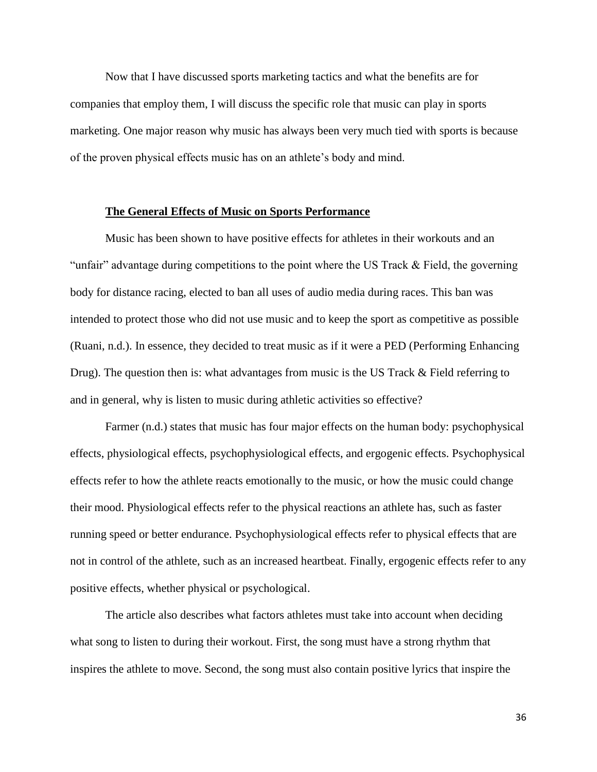Now that I have discussed sports marketing tactics and what the benefits are for companies that employ them, I will discuss the specific role that music can play in sports marketing. One major reason why music has always been very much tied with sports is because of the proven physical effects music has on an athlete's body and mind.

#### **The General Effects of Music on Sports Performance**

Music has been shown to have positive effects for athletes in their workouts and an "unfair" advantage during competitions to the point where the US Track & Field, the governing body for distance racing, elected to ban all uses of audio media during races. This ban was intended to protect those who did not use music and to keep the sport as competitive as possible (Ruani, n.d.). In essence, they decided to treat music as if it were a PED (Performing Enhancing Drug). The question then is: what advantages from music is the US Track & Field referring to and in general, why is listen to music during athletic activities so effective?

Farmer (n.d.) states that music has four major effects on the human body: psychophysical effects, physiological effects, psychophysiological effects, and ergogenic effects. Psychophysical effects refer to how the athlete reacts emotionally to the music, or how the music could change their mood. Physiological effects refer to the physical reactions an athlete has, such as faster running speed or better endurance. Psychophysiological effects refer to physical effects that are not in control of the athlete, such as an increased heartbeat. Finally, ergogenic effects refer to any positive effects, whether physical or psychological.

The article also describes what factors athletes must take into account when deciding what song to listen to during their workout. First, the song must have a strong rhythm that inspires the athlete to move. Second, the song must also contain positive lyrics that inspire the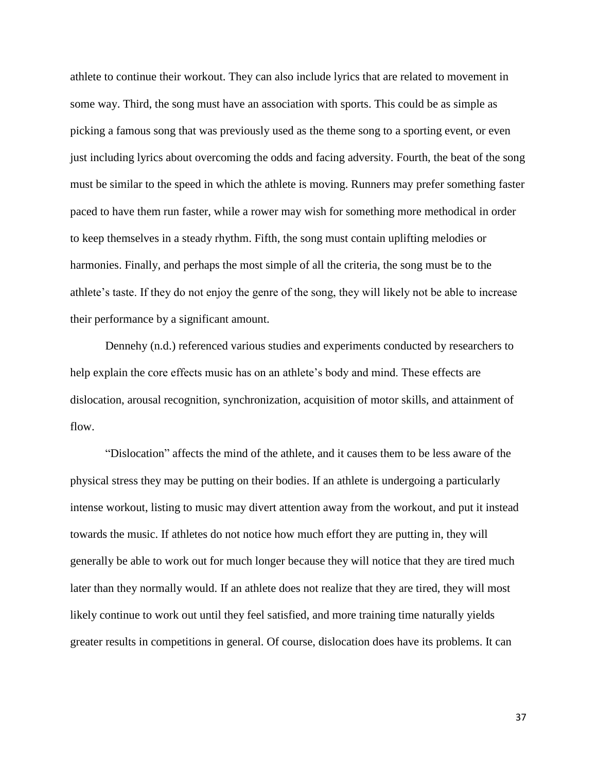athlete to continue their workout. They can also include lyrics that are related to movement in some way. Third, the song must have an association with sports. This could be as simple as picking a famous song that was previously used as the theme song to a sporting event, or even just including lyrics about overcoming the odds and facing adversity. Fourth, the beat of the song must be similar to the speed in which the athlete is moving. Runners may prefer something faster paced to have them run faster, while a rower may wish for something more methodical in order to keep themselves in a steady rhythm. Fifth, the song must contain uplifting melodies or harmonies. Finally, and perhaps the most simple of all the criteria, the song must be to the athlete's taste. If they do not enjoy the genre of the song, they will likely not be able to increase their performance by a significant amount.

Dennehy (n.d.) referenced various studies and experiments conducted by researchers to help explain the core effects music has on an athlete's body and mind. These effects are dislocation, arousal recognition, synchronization, acquisition of motor skills, and attainment of flow.

"Dislocation" affects the mind of the athlete, and it causes them to be less aware of the physical stress they may be putting on their bodies. If an athlete is undergoing a particularly intense workout, listing to music may divert attention away from the workout, and put it instead towards the music. If athletes do not notice how much effort they are putting in, they will generally be able to work out for much longer because they will notice that they are tired much later than they normally would. If an athlete does not realize that they are tired, they will most likely continue to work out until they feel satisfied, and more training time naturally yields greater results in competitions in general. Of course, dislocation does have its problems. It can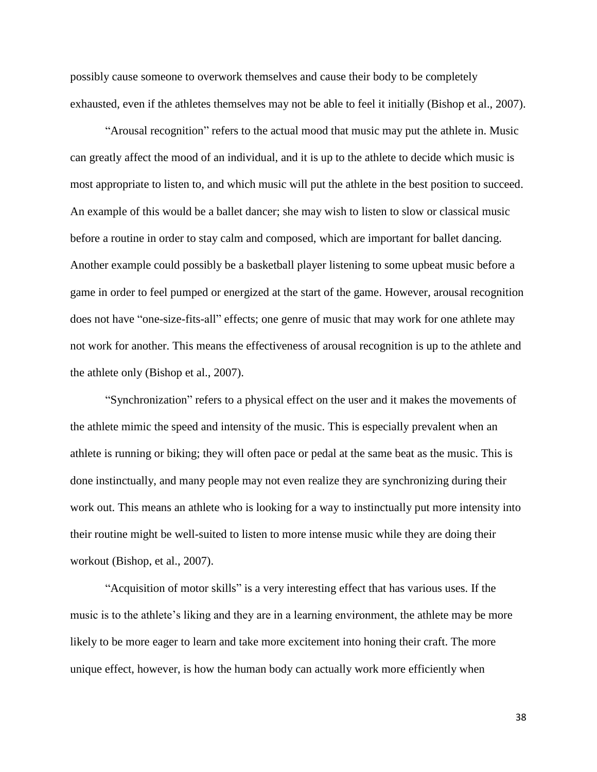possibly cause someone to overwork themselves and cause their body to be completely exhausted, even if the athletes themselves may not be able to feel it initially (Bishop et al., 2007).

"Arousal recognition" refers to the actual mood that music may put the athlete in. Music can greatly affect the mood of an individual, and it is up to the athlete to decide which music is most appropriate to listen to, and which music will put the athlete in the best position to succeed. An example of this would be a ballet dancer; she may wish to listen to slow or classical music before a routine in order to stay calm and composed, which are important for ballet dancing. Another example could possibly be a basketball player listening to some upbeat music before a game in order to feel pumped or energized at the start of the game. However, arousal recognition does not have "one-size-fits-all" effects; one genre of music that may work for one athlete may not work for another. This means the effectiveness of arousal recognition is up to the athlete and the athlete only (Bishop et al., 2007).

"Synchronization" refers to a physical effect on the user and it makes the movements of the athlete mimic the speed and intensity of the music. This is especially prevalent when an athlete is running or biking; they will often pace or pedal at the same beat as the music. This is done instinctually, and many people may not even realize they are synchronizing during their work out. This means an athlete who is looking for a way to instinctually put more intensity into their routine might be well-suited to listen to more intense music while they are doing their workout (Bishop, et al., 2007).

"Acquisition of motor skills" is a very interesting effect that has various uses. If the music is to the athlete's liking and they are in a learning environment, the athlete may be more likely to be more eager to learn and take more excitement into honing their craft. The more unique effect, however, is how the human body can actually work more efficiently when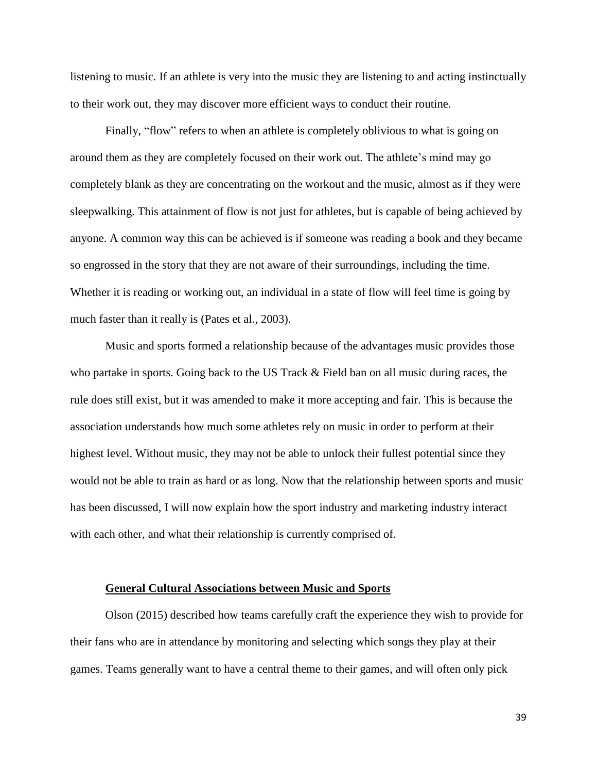listening to music. If an athlete is very into the music they are listening to and acting instinctually to their work out, they may discover more efficient ways to conduct their routine.

Finally, "flow" refers to when an athlete is completely oblivious to what is going on around them as they are completely focused on their work out. The athlete's mind may go completely blank as they are concentrating on the workout and the music, almost as if they were sleepwalking. This attainment of flow is not just for athletes, but is capable of being achieved by anyone. A common way this can be achieved is if someone was reading a book and they became so engrossed in the story that they are not aware of their surroundings, including the time. Whether it is reading or working out, an individual in a state of flow will feel time is going by much faster than it really is (Pates et al., 2003).

Music and sports formed a relationship because of the advantages music provides those who partake in sports. Going back to the US Track & Field ban on all music during races, the rule does still exist, but it was amended to make it more accepting and fair. This is because the association understands how much some athletes rely on music in order to perform at their highest level. Without music, they may not be able to unlock their fullest potential since they would not be able to train as hard or as long. Now that the relationship between sports and music has been discussed, I will now explain how the sport industry and marketing industry interact with each other, and what their relationship is currently comprised of.

#### **General Cultural Associations between Music and Sports**

Olson (2015) described how teams carefully craft the experience they wish to provide for their fans who are in attendance by monitoring and selecting which songs they play at their games. Teams generally want to have a central theme to their games, and will often only pick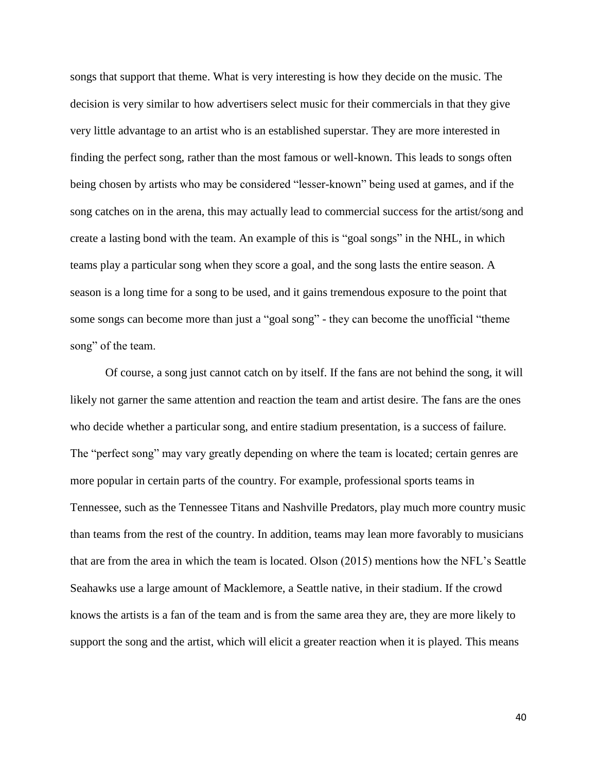songs that support that theme. What is very interesting is how they decide on the music. The decision is very similar to how advertisers select music for their commercials in that they give very little advantage to an artist who is an established superstar. They are more interested in finding the perfect song, rather than the most famous or well-known. This leads to songs often being chosen by artists who may be considered "lesser-known" being used at games, and if the song catches on in the arena, this may actually lead to commercial success for the artist/song and create a lasting bond with the team. An example of this is "goal songs" in the NHL, in which teams play a particular song when they score a goal, and the song lasts the entire season. A season is a long time for a song to be used, and it gains tremendous exposure to the point that some songs can become more than just a "goal song" - they can become the unofficial "theme song" of the team.

Of course, a song just cannot catch on by itself. If the fans are not behind the song, it will likely not garner the same attention and reaction the team and artist desire. The fans are the ones who decide whether a particular song, and entire stadium presentation, is a success of failure. The "perfect song" may vary greatly depending on where the team is located; certain genres are more popular in certain parts of the country. For example, professional sports teams in Tennessee, such as the Tennessee Titans and Nashville Predators, play much more country music than teams from the rest of the country. In addition, teams may lean more favorably to musicians that are from the area in which the team is located. Olson (2015) mentions how the NFL's Seattle Seahawks use a large amount of Macklemore, a Seattle native, in their stadium. If the crowd knows the artists is a fan of the team and is from the same area they are, they are more likely to support the song and the artist, which will elicit a greater reaction when it is played. This means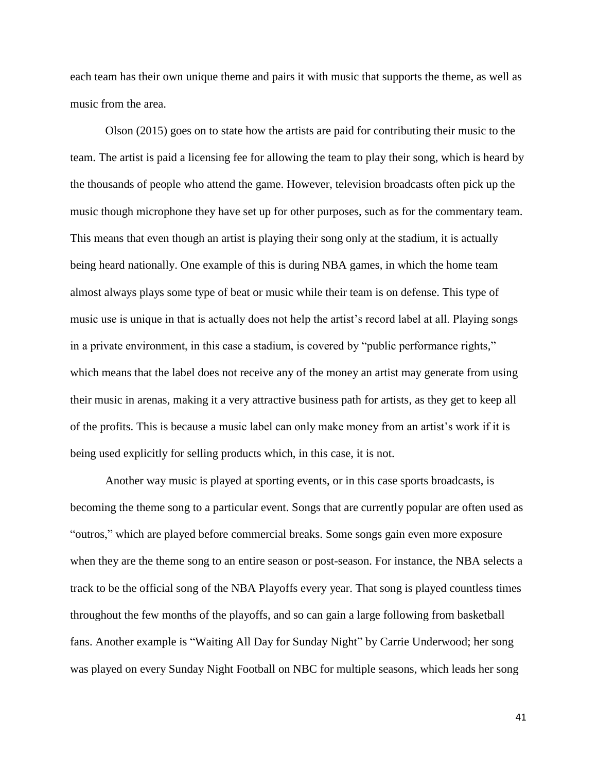each team has their own unique theme and pairs it with music that supports the theme, as well as music from the area.

Olson (2015) goes on to state how the artists are paid for contributing their music to the team. The artist is paid a licensing fee for allowing the team to play their song, which is heard by the thousands of people who attend the game. However, television broadcasts often pick up the music though microphone they have set up for other purposes, such as for the commentary team. This means that even though an artist is playing their song only at the stadium, it is actually being heard nationally. One example of this is during NBA games, in which the home team almost always plays some type of beat or music while their team is on defense. This type of music use is unique in that is actually does not help the artist's record label at all. Playing songs in a private environment, in this case a stadium, is covered by "public performance rights," which means that the label does not receive any of the money an artist may generate from using their music in arenas, making it a very attractive business path for artists, as they get to keep all of the profits. This is because a music label can only make money from an artist's work if it is being used explicitly for selling products which, in this case, it is not.

Another way music is played at sporting events, or in this case sports broadcasts, is becoming the theme song to a particular event. Songs that are currently popular are often used as "outros," which are played before commercial breaks. Some songs gain even more exposure when they are the theme song to an entire season or post-season. For instance, the NBA selects a track to be the official song of the NBA Playoffs every year. That song is played countless times throughout the few months of the playoffs, and so can gain a large following from basketball fans. Another example is "Waiting All Day for Sunday Night" by Carrie Underwood; her song was played on every Sunday Night Football on NBC for multiple seasons, which leads her song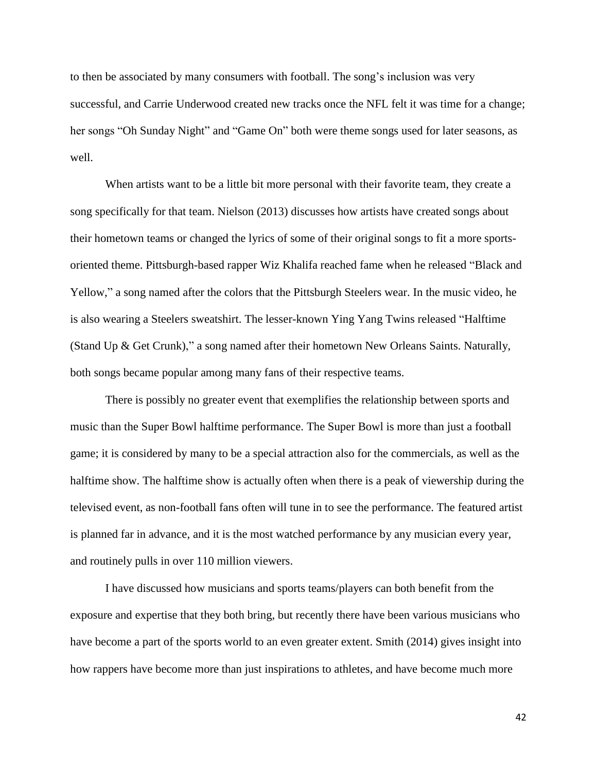to then be associated by many consumers with football. The song's inclusion was very successful, and Carrie Underwood created new tracks once the NFL felt it was time for a change; her songs "Oh Sunday Night" and "Game On" both were theme songs used for later seasons, as well.

When artists want to be a little bit more personal with their favorite team, they create a song specifically for that team. Nielson (2013) discusses how artists have created songs about their hometown teams or changed the lyrics of some of their original songs to fit a more sportsoriented theme. Pittsburgh-based rapper Wiz Khalifa reached fame when he released "Black and Yellow," a song named after the colors that the Pittsburgh Steelers wear. In the music video, he is also wearing a Steelers sweatshirt. The lesser-known Ying Yang Twins released "Halftime (Stand Up & Get Crunk)," a song named after their hometown New Orleans Saints. Naturally, both songs became popular among many fans of their respective teams.

There is possibly no greater event that exemplifies the relationship between sports and music than the Super Bowl halftime performance. The Super Bowl is more than just a football game; it is considered by many to be a special attraction also for the commercials, as well as the halftime show. The halftime show is actually often when there is a peak of viewership during the televised event, as non-football fans often will tune in to see the performance. The featured artist is planned far in advance, and it is the most watched performance by any musician every year, and routinely pulls in over 110 million viewers.

I have discussed how musicians and sports teams/players can both benefit from the exposure and expertise that they both bring, but recently there have been various musicians who have become a part of the sports world to an even greater extent. Smith (2014) gives insight into how rappers have become more than just inspirations to athletes, and have become much more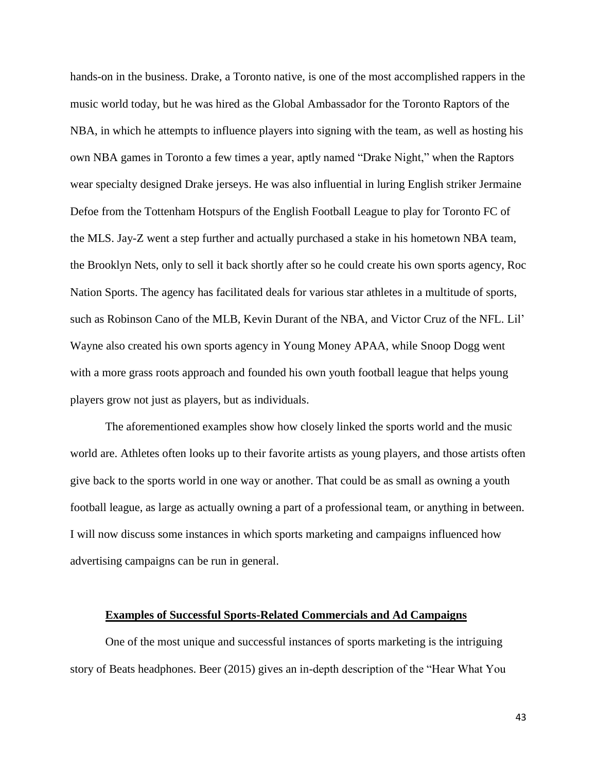hands-on in the business. Drake, a Toronto native, is one of the most accomplished rappers in the music world today, but he was hired as the Global Ambassador for the Toronto Raptors of the NBA, in which he attempts to influence players into signing with the team, as well as hosting his own NBA games in Toronto a few times a year, aptly named "Drake Night," when the Raptors wear specialty designed Drake jerseys. He was also influential in luring English striker Jermaine Defoe from the Tottenham Hotspurs of the English Football League to play for Toronto FC of the MLS. Jay-Z went a step further and actually purchased a stake in his hometown NBA team, the Brooklyn Nets, only to sell it back shortly after so he could create his own sports agency, Roc Nation Sports. The agency has facilitated deals for various star athletes in a multitude of sports, such as Robinson Cano of the MLB, Kevin Durant of the NBA, and Victor Cruz of the NFL. Lil' Wayne also created his own sports agency in Young Money APAA, while Snoop Dogg went with a more grass roots approach and founded his own youth football league that helps young players grow not just as players, but as individuals.

The aforementioned examples show how closely linked the sports world and the music world are. Athletes often looks up to their favorite artists as young players, and those artists often give back to the sports world in one way or another. That could be as small as owning a youth football league, as large as actually owning a part of a professional team, or anything in between. I will now discuss some instances in which sports marketing and campaigns influenced how advertising campaigns can be run in general.

#### **Examples of Successful Sports-Related Commercials and Ad Campaigns**

One of the most unique and successful instances of sports marketing is the intriguing story of Beats headphones. Beer (2015) gives an in-depth description of the "Hear What You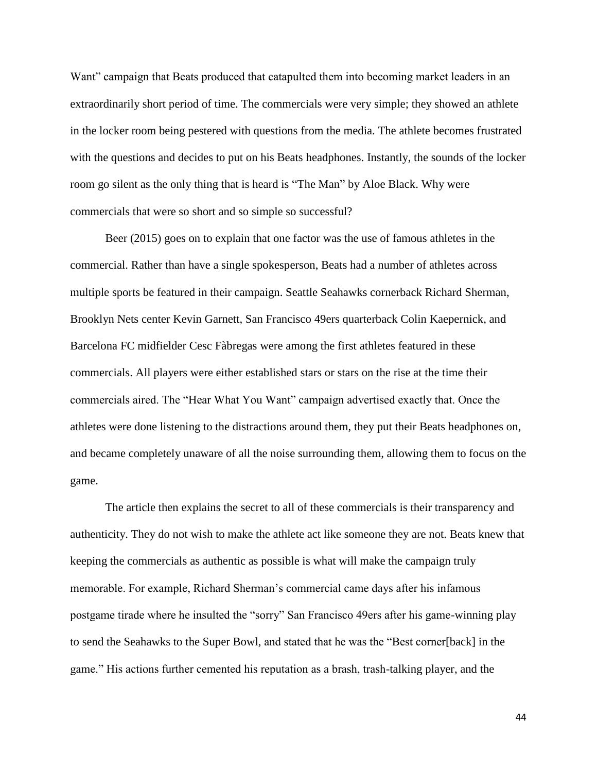Want" campaign that Beats produced that catapulted them into becoming market leaders in an extraordinarily short period of time. The commercials were very simple; they showed an athlete in the locker room being pestered with questions from the media. The athlete becomes frustrated with the questions and decides to put on his Beats headphones. Instantly, the sounds of the locker room go silent as the only thing that is heard is "The Man" by Aloe Black. Why were commercials that were so short and so simple so successful?

Beer (2015) goes on to explain that one factor was the use of famous athletes in the commercial. Rather than have a single spokesperson, Beats had a number of athletes across multiple sports be featured in their campaign. Seattle Seahawks cornerback Richard Sherman, Brooklyn Nets center Kevin Garnett, San Francisco 49ers quarterback Colin Kaepernick, and Barcelona FC midfielder Cesc Fàbregas were among the first athletes featured in these commercials. All players were either established stars or stars on the rise at the time their commercials aired. The "Hear What You Want" campaign advertised exactly that. Once the athletes were done listening to the distractions around them, they put their Beats headphones on, and became completely unaware of all the noise surrounding them, allowing them to focus on the game.

The article then explains the secret to all of these commercials is their transparency and authenticity. They do not wish to make the athlete act like someone they are not. Beats knew that keeping the commercials as authentic as possible is what will make the campaign truly memorable. For example, Richard Sherman's commercial came days after his infamous postgame tirade where he insulted the "sorry" San Francisco 49ers after his game-winning play to send the Seahawks to the Super Bowl, and stated that he was the "Best corner[back] in the game." His actions further cemented his reputation as a brash, trash-talking player, and the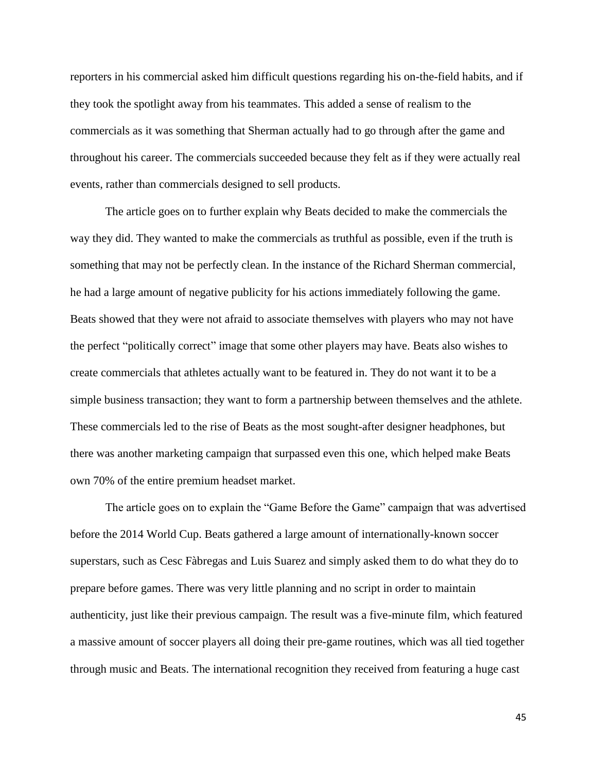reporters in his commercial asked him difficult questions regarding his on-the-field habits, and if they took the spotlight away from his teammates. This added a sense of realism to the commercials as it was something that Sherman actually had to go through after the game and throughout his career. The commercials succeeded because they felt as if they were actually real events, rather than commercials designed to sell products.

The article goes on to further explain why Beats decided to make the commercials the way they did. They wanted to make the commercials as truthful as possible, even if the truth is something that may not be perfectly clean. In the instance of the Richard Sherman commercial, he had a large amount of negative publicity for his actions immediately following the game. Beats showed that they were not afraid to associate themselves with players who may not have the perfect "politically correct" image that some other players may have. Beats also wishes to create commercials that athletes actually want to be featured in. They do not want it to be a simple business transaction; they want to form a partnership between themselves and the athlete. These commercials led to the rise of Beats as the most sought-after designer headphones, but there was another marketing campaign that surpassed even this one, which helped make Beats own 70% of the entire premium headset market.

The article goes on to explain the "Game Before the Game" campaign that was advertised before the 2014 World Cup. Beats gathered a large amount of internationally-known soccer superstars, such as Cesc Fàbregas and Luis Suarez and simply asked them to do what they do to prepare before games. There was very little planning and no script in order to maintain authenticity, just like their previous campaign. The result was a five-minute film, which featured a massive amount of soccer players all doing their pre-game routines, which was all tied together through music and Beats. The international recognition they received from featuring a huge cast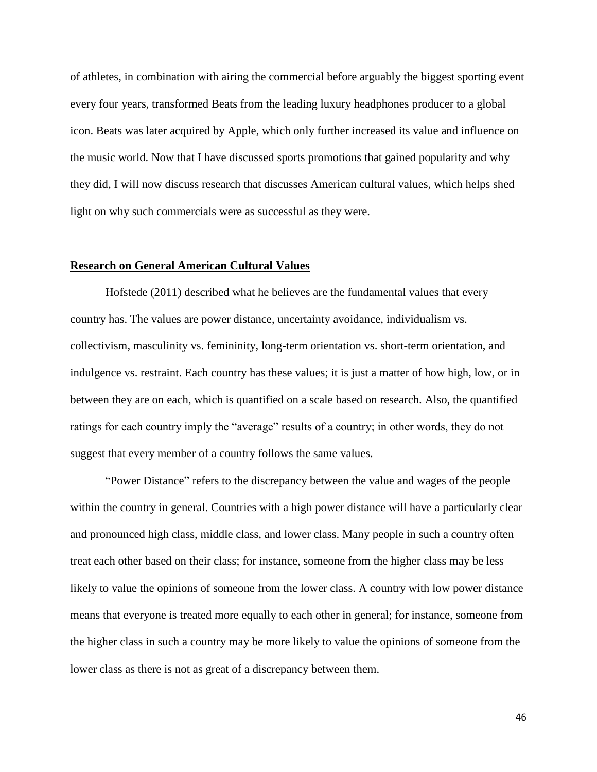of athletes, in combination with airing the commercial before arguably the biggest sporting event every four years, transformed Beats from the leading luxury headphones producer to a global icon. Beats was later acquired by Apple, which only further increased its value and influence on the music world. Now that I have discussed sports promotions that gained popularity and why they did, I will now discuss research that discusses American cultural values, which helps shed light on why such commercials were as successful as they were.

#### **Research on General American Cultural Values**

Hofstede (2011) described what he believes are the fundamental values that every country has. The values are power distance, uncertainty avoidance, individualism vs. collectivism, masculinity vs. femininity, long-term orientation vs. short-term orientation, and indulgence vs. restraint. Each country has these values; it is just a matter of how high, low, or in between they are on each, which is quantified on a scale based on research. Also, the quantified ratings for each country imply the "average" results of a country; in other words, they do not suggest that every member of a country follows the same values.

"Power Distance" refers to the discrepancy between the value and wages of the people within the country in general. Countries with a high power distance will have a particularly clear and pronounced high class, middle class, and lower class. Many people in such a country often treat each other based on their class; for instance, someone from the higher class may be less likely to value the opinions of someone from the lower class. A country with low power distance means that everyone is treated more equally to each other in general; for instance, someone from the higher class in such a country may be more likely to value the opinions of someone from the lower class as there is not as great of a discrepancy between them.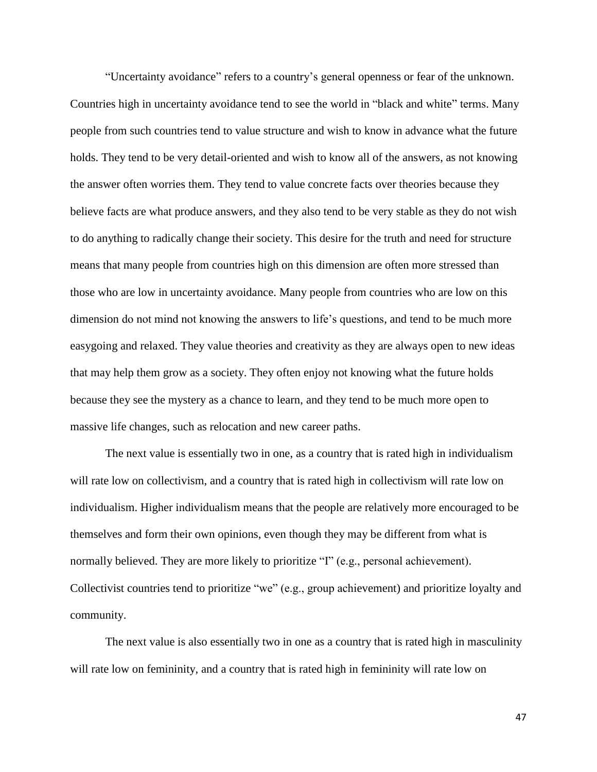"Uncertainty avoidance" refers to a country's general openness or fear of the unknown. Countries high in uncertainty avoidance tend to see the world in "black and white" terms. Many people from such countries tend to value structure and wish to know in advance what the future holds. They tend to be very detail-oriented and wish to know all of the answers, as not knowing the answer often worries them. They tend to value concrete facts over theories because they believe facts are what produce answers, and they also tend to be very stable as they do not wish to do anything to radically change their society. This desire for the truth and need for structure means that many people from countries high on this dimension are often more stressed than those who are low in uncertainty avoidance. Many people from countries who are low on this dimension do not mind not knowing the answers to life's questions, and tend to be much more easygoing and relaxed. They value theories and creativity as they are always open to new ideas that may help them grow as a society. They often enjoy not knowing what the future holds because they see the mystery as a chance to learn, and they tend to be much more open to massive life changes, such as relocation and new career paths.

The next value is essentially two in one, as a country that is rated high in individualism will rate low on collectivism, and a country that is rated high in collectivism will rate low on individualism. Higher individualism means that the people are relatively more encouraged to be themselves and form their own opinions, even though they may be different from what is normally believed. They are more likely to prioritize "I" (e.g., personal achievement). Collectivist countries tend to prioritize "we" (e.g., group achievement) and prioritize loyalty and community.

The next value is also essentially two in one as a country that is rated high in masculinity will rate low on femininity, and a country that is rated high in femininity will rate low on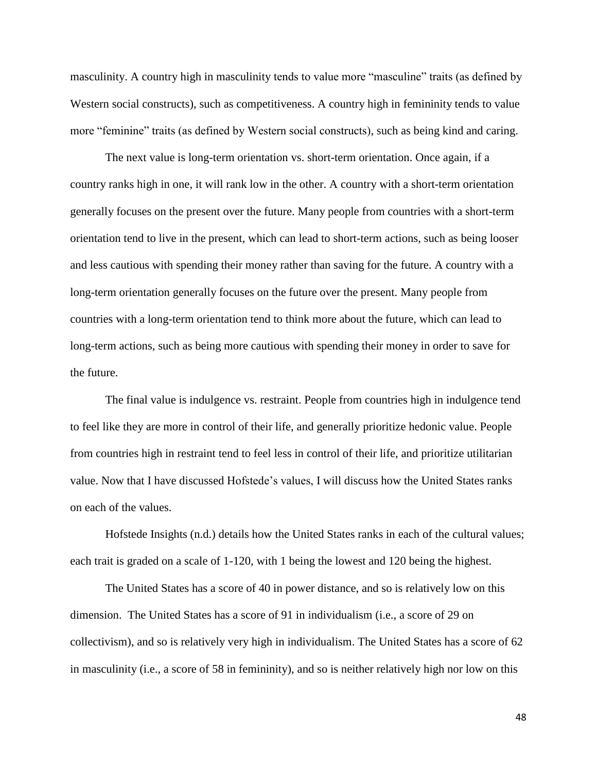masculinity. A country high in masculinity tends to value more "masculine" traits (as defined by Western social constructs), such as competitiveness. A country high in femininity tends to value more "feminine" traits (as defined by Western social constructs), such as being kind and caring.

The next value is long-term orientation vs. short-term orientation. Once again, if a country ranks high in one, it will rank low in the other. A country with a short-term orientation generally focuses on the present over the future. Many people from countries with a short-term orientation tend to live in the present, which can lead to short-term actions, such as being looser and less cautious with spending their money rather than saving for the future. A country with a long-term orientation generally focuses on the future over the present. Many people from countries with a long-term orientation tend to think more about the future, which can lead to long-term actions, such as being more cautious with spending their money in order to save for the future.

The final value is indulgence vs. restraint. People from countries high in indulgence tend to feel like they are more in control of their life, and generally prioritize hedonic value. People from countries high in restraint tend to feel less in control of their life, and prioritize utilitarian value. Now that I have discussed Hofstede's values, I will discuss how the United States ranks on each of the values.

Hofstede Insights (n.d.) details how the United States ranks in each of the cultural values; each trait is graded on a scale of 1-120, with 1 being the lowest and 120 being the highest.

The United States has a score of 40 in power distance, and so is relatively low on this dimension. The United States has a score of 91 in individualism (i.e., a score of 29 on collectivism), and so is relatively very high in individualism. The United States has a score of 62 in masculinity (i.e., a score of 58 in femininity), and so is neither relatively high nor low on this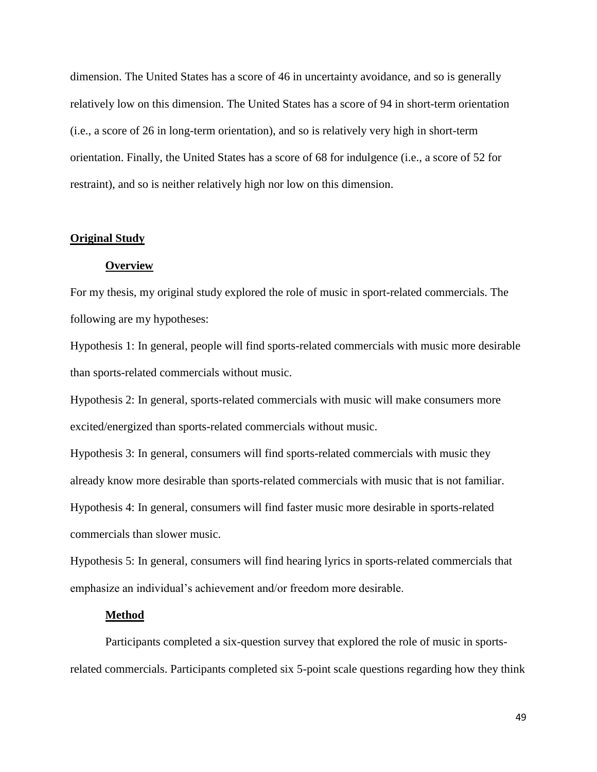dimension. The United States has a score of 46 in uncertainty avoidance, and so is generally relatively low on this dimension. The United States has a score of 94 in short-term orientation (i.e., a score of 26 in long-term orientation), and so is relatively very high in short-term orientation. Finally, the United States has a score of 68 for indulgence (i.e., a score of 52 for restraint), and so is neither relatively high nor low on this dimension.

#### **Original Study**

#### **Overview**

For my thesis, my original study explored the role of music in sport-related commercials. The following are my hypotheses:

Hypothesis 1: In general, people will find sports-related commercials with music more desirable than sports-related commercials without music.

Hypothesis 2: In general, sports-related commercials with music will make consumers more excited/energized than sports-related commercials without music.

Hypothesis 3: In general, consumers will find sports-related commercials with music they already know more desirable than sports-related commercials with music that is not familiar. Hypothesis 4: In general, consumers will find faster music more desirable in sports-related commercials than slower music.

Hypothesis 5: In general, consumers will find hearing lyrics in sports-related commercials that emphasize an individual's achievement and/or freedom more desirable.

#### **Method**

Participants completed a six-question survey that explored the role of music in sportsrelated commercials. Participants completed six 5-point scale questions regarding how they think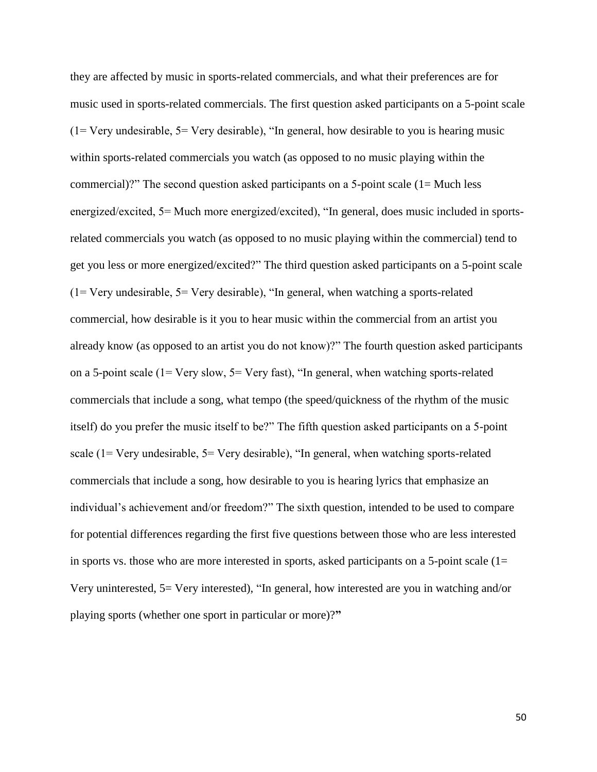they are affected by music in sports-related commercials, and what their preferences are for music used in sports-related commercials. The first question asked participants on a 5-point scale  $(1 = \text{Very undesirable}, 5 = \text{Very desirable})$ , "In general, how desirable to you is hearing music within sports-related commercials you watch (as opposed to no music playing within the commercial)?" The second question asked participants on a 5-point scale (1= Much less energized/excited, 5= Much more energized/excited), "In general, does music included in sportsrelated commercials you watch (as opposed to no music playing within the commercial) tend to get you less or more energized/excited?" The third question asked participants on a 5-point scale  $(1=$  Very undesirable,  $5=$  Very desirable), "In general, when watching a sports-related commercial, how desirable is it you to hear music within the commercial from an artist you already know (as opposed to an artist you do not know)?" The fourth question asked participants on a 5-point scale (1= Very slow, 5= Very fast), "In general, when watching sports-related commercials that include a song, what tempo (the speed/quickness of the rhythm of the music itself) do you prefer the music itself to be?" The fifth question asked participants on a 5-point scale (1= Very undesirable, 5= Very desirable), "In general, when watching sports-related commercials that include a song, how desirable to you is hearing lyrics that emphasize an individual's achievement and/or freedom?" The sixth question, intended to be used to compare for potential differences regarding the first five questions between those who are less interested in sports vs. those who are more interested in sports, asked participants on a 5-point scale  $(1=$ Very uninterested, 5= Very interested), "In general, how interested are you in watching and/or playing sports (whether one sport in particular or more)?**"**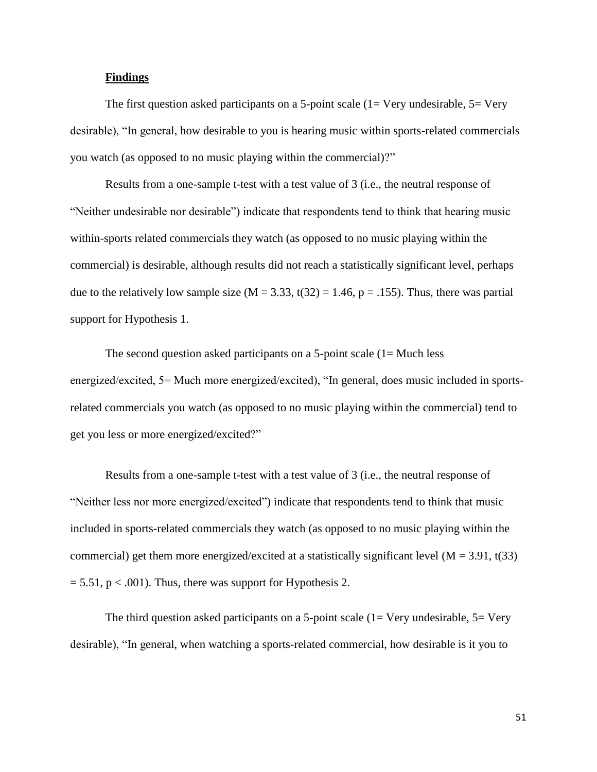#### **Findings**

The first question asked participants on a 5-point scale  $(1=$  Very undesirable,  $5=$  Very desirable), "In general, how desirable to you is hearing music within sports-related commercials you watch (as opposed to no music playing within the commercial)?"

Results from a one-sample t-test with a test value of 3 (i.e., the neutral response of "Neither undesirable nor desirable") indicate that respondents tend to think that hearing music within-sports related commercials they watch (as opposed to no music playing within the commercial) is desirable, although results did not reach a statistically significant level, perhaps due to the relatively low sample size ( $M = 3.33$ , t(32) = 1.46, p = .155). Thus, there was partial support for Hypothesis 1.

The second question asked participants on a 5-point scale  $(1)$  – Much less energized/excited, 5= Much more energized/excited), "In general, does music included in sportsrelated commercials you watch (as opposed to no music playing within the commercial) tend to get you less or more energized/excited?"

Results from a one-sample t-test with a test value of 3 (i.e., the neutral response of "Neither less nor more energized/excited") indicate that respondents tend to think that music included in sports-related commercials they watch (as opposed to no music playing within the commercial) get them more energized/excited at a statistically significant level ( $M = 3.91$ , t(33)  $= 5.51$ , p < .001). Thus, there was support for Hypothesis 2.

The third question asked participants on a 5-point scale  $(1=$  Very undesirable,  $5=$  Very desirable), "In general, when watching a sports-related commercial, how desirable is it you to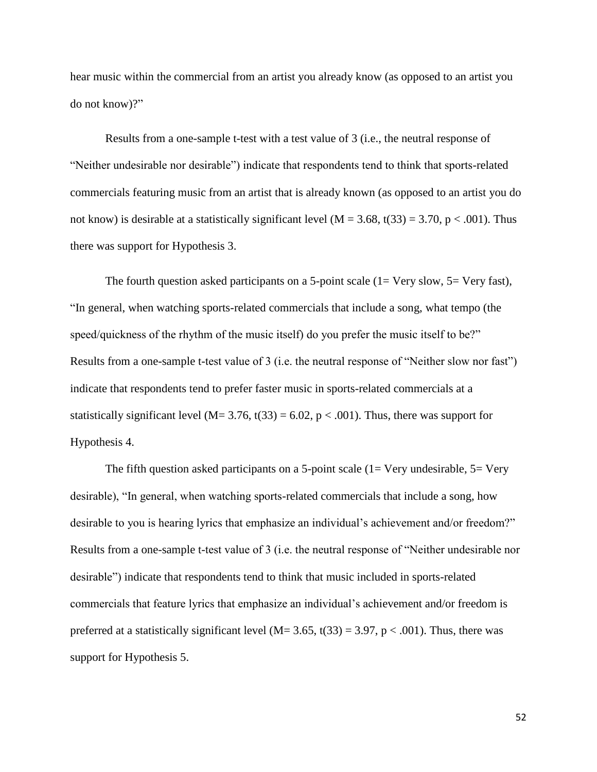hear music within the commercial from an artist you already know (as opposed to an artist you do not know)?"

Results from a one-sample t-test with a test value of 3 (i.e., the neutral response of "Neither undesirable nor desirable") indicate that respondents tend to think that sports-related commercials featuring music from an artist that is already known (as opposed to an artist you do not know) is desirable at a statistically significant level ( $M = 3.68$ , t(33) = 3.70, p < .001). Thus there was support for Hypothesis 3.

The fourth question asked participants on a 5-point scale  $(1=$  Very slow,  $5=$  Very fast), "In general, when watching sports-related commercials that include a song, what tempo (the speed/quickness of the rhythm of the music itself) do you prefer the music itself to be?" Results from a one-sample t-test value of 3 (i.e. the neutral response of "Neither slow nor fast") indicate that respondents tend to prefer faster music in sports-related commercials at a statistically significant level (M=  $3.76$ , t(33) =  $6.02$ , p < .001). Thus, there was support for Hypothesis 4.

The fifth question asked participants on a 5-point scale ( $1=$  Very undesirable,  $5=$  Very desirable), "In general, when watching sports-related commercials that include a song, how desirable to you is hearing lyrics that emphasize an individual's achievement and/or freedom?" Results from a one-sample t-test value of 3 (i.e. the neutral response of "Neither undesirable nor desirable") indicate that respondents tend to think that music included in sports-related commercials that feature lyrics that emphasize an individual's achievement and/or freedom is preferred at a statistically significant level ( $M=3.65$ ,  $t(33) = 3.97$ ,  $p < .001$ ). Thus, there was support for Hypothesis 5.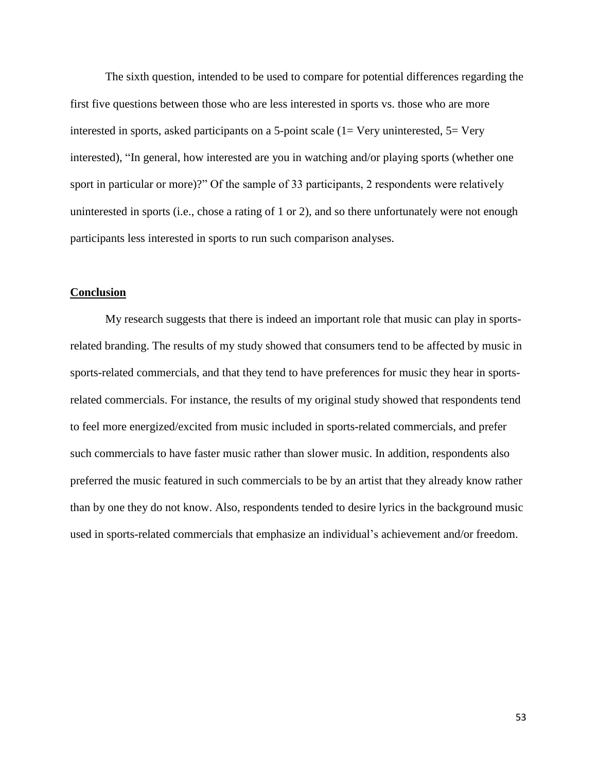The sixth question, intended to be used to compare for potential differences regarding the first five questions between those who are less interested in sports vs. those who are more interested in sports, asked participants on a 5-point scale (1= Very uninterested, 5= Very interested), "In general, how interested are you in watching and/or playing sports (whether one sport in particular or more)?" Of the sample of 33 participants, 2 respondents were relatively uninterested in sports (i.e., chose a rating of 1 or 2), and so there unfortunately were not enough participants less interested in sports to run such comparison analyses.

#### **Conclusion**

My research suggests that there is indeed an important role that music can play in sportsrelated branding. The results of my study showed that consumers tend to be affected by music in sports-related commercials, and that they tend to have preferences for music they hear in sportsrelated commercials. For instance, the results of my original study showed that respondents tend to feel more energized/excited from music included in sports-related commercials, and prefer such commercials to have faster music rather than slower music. In addition, respondents also preferred the music featured in such commercials to be by an artist that they already know rather than by one they do not know. Also, respondents tended to desire lyrics in the background music used in sports-related commercials that emphasize an individual's achievement and/or freedom.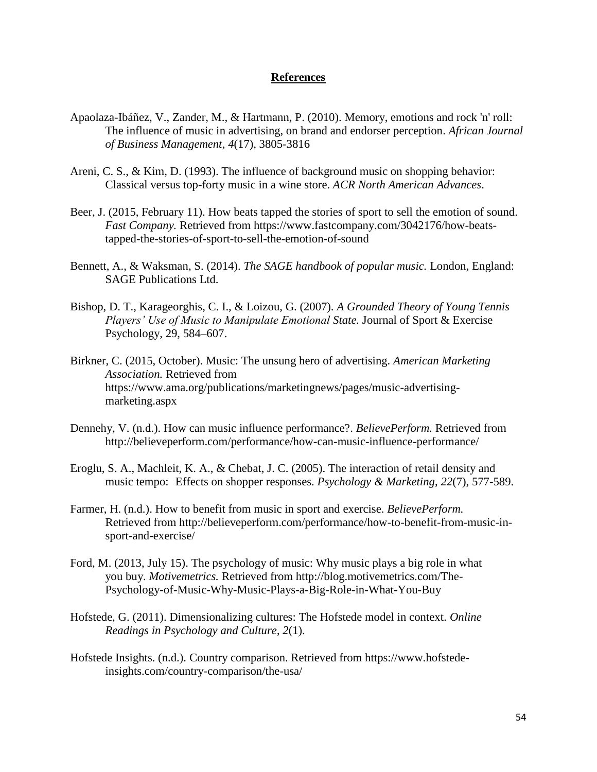#### **References**

- Apaolaza-Ibáñez, V., Zander, M., & Hartmann, P. (2010). Memory, emotions and rock 'n' roll: The influence of music in advertising, on brand and endorser perception. *African Journal of Business Management*, *4*(17), 3805-3816
- Areni, C. S., & Kim, D. (1993). The influence of background music on shopping behavior: Classical versus top-forty music in a wine store. *ACR North American Advances*.
- Beer, J. (2015, February 11). How beats tapped the stories of sport to sell the emotion of sound. *Fast Company.* Retrieved from https://www.fastcompany.com/3042176/how-beatstapped-the-stories-of-sport-to-sell-the-emotion-of-sound
- Bennett, A., & Waksman, S. (2014). *The SAGE handbook of popular music.* London, England: SAGE Publications Ltd.
- Bishop, D. T., Karageorghis, C. I., & Loizou, G. (2007). *A Grounded Theory of Young Tennis Players' Use of Music to Manipulate Emotional State.* Journal of Sport & Exercise Psychology, 29, 584–607.
- Birkner, C. (2015, October). Music: The unsung hero of advertising. *American Marketing Association.* Retrieved from https://www.ama.org/publications/marketingnews/pages/music-advertisingmarketing.aspx
- Dennehy, V. (n.d.). How can music influence performance?. *BelievePerform.* Retrieved from <http://believeperform.com/performance/how-can-music-influence-performance/>
- Eroglu, S. A., Machleit, K. A., & Chebat, J. C. (2005). The interaction of retail density and music tempo: Effects on shopper responses. *Psychology & Marketing*, *22*(7), 577-589.
- Farmer, H. (n.d.). How to benefit from music in sport and exercise. *BelievePerform.*  Retrieved from [http://believeperform.com/performance/how-to-benefit-from-music-in](http://believeperform.com/performance/how-to-benefit-from-music-in-%09sport-and-)[sport-and-e](http://believeperform.com/performance/how-to-benefit-from-music-in-%09sport-and-)xercise/
- Ford, M. (2013, July 15). The psychology of music: Why music plays a big role in what you buy. *Motivemetrics.* Retrieved from [http://blog.motivemetrics.com/The-](http://blog.motivemetrics.com/The-%09Psychology-of-Music-Why-Music-Plays-a-Big-Role-)[Psychology-of-Music-Why-Music-Plays-a-Big-Role-i](http://blog.motivemetrics.com/The-%09Psychology-of-Music-Why-Music-Plays-a-Big-Role-)n-What-You-Buy
- Hofstede, G. (2011). Dimensionalizing cultures: The Hofstede model in context. *Online Readings in Psychology and Culture*, *2*(1).
- Hofstede Insights. (n.d.). Country comparison. Retrieved from https://www.hofstedeinsights.com/country-comparison/the-usa/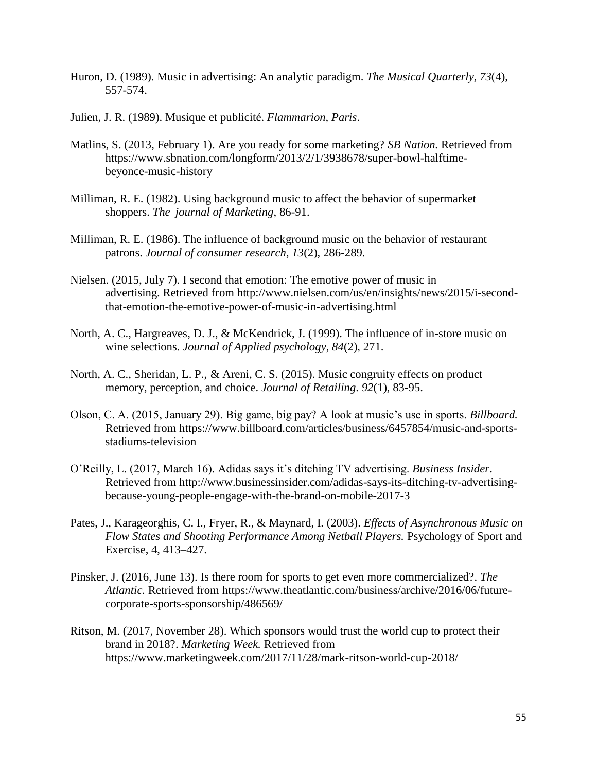- Huron, D. (1989). Music in advertising: An analytic paradigm. *The Musical Quarterly*, *73*(4), 557-574.
- Julien, J. R. (1989). Musique et publicité. *Flammarion, Paris*.
- Matlins, S. (2013, February 1). Are you ready for some marketing? *SB Nation.* Retrieved from [https://www.sbnation.com/longform/2013/2/1/3938678/super-bowl-halftime](https://www.sbnation.com/longform/2013/2/1/3938678/super-bowl-halftime-)beyonce-music-history
- Milliman, R. E. (1982). Using background music to affect the behavior of supermarket shoppers. *The journal of Marketing*, 86-91.
- Milliman, R. E. (1986). The influence of background music on the behavior of restaurant patrons. *Journal of consumer research*, *13*(2), 286-289.
- Nielsen. (2015, July 7). I second that emotion: The emotive power of music in advertising. Retrieved from http://www.nielsen.com/us/en/insights/news/2015/i-secondthat-emotion-the-emotive-power-of-music-in-advertising.html
- North, A. C., Hargreaves, D. J., & McKendrick, J. (1999). The influence of in-store music on wine selections. *Journal of Applied psychology*, *84*(2), 271.
- North, A. C., Sheridan, L. P., & Areni, C. S. (2015). Music congruity effects on product memory, perception, and choice. *Journal of Retailing*. *92*(1), 83-95.
- Olson, C. A. (2015, January 29). Big game, big pay? A look at music's use in sports. *Billboard.* Retrieved from [https://www.billboard.com/articles/business/6457854/music-and-sports](https://www.billboard.com/articles/business/6457854/music-and-sports-%09stadiums-television)[stadiums-television](https://www.billboard.com/articles/business/6457854/music-and-sports-%09stadiums-television)
- O'Reilly, L. (2017, March 16). Adidas says it's ditching TV advertising. *Business Insider*. Retrieved from http://www.businessinsider.com/adidas-says-its-ditching-tv-advertisingbecause-young-people-engage-with-the-brand-on-mobile-2017-3
- Pates, J., Karageorghis, C. I., Fryer, R., & Maynard, I. (2003). *Effects of Asynchronous Music on Flow States and Shooting Performance Among Netball Players.* Psychology of Sport and Exercise, 4, 413–427.
- Pinsker, J. (2016, June 13). Is there room for sports to get even more commercialized?. *The Atlantic.* Retrieved from https://www.theatlantic.com/business/archive/2016/06/futurecorporate-sports-sponsorship/486569/
- Ritson, M. (2017, November 28). Which sponsors would trust the world cup to protect their brand in 2018?. *Marketing Week.* Retrieved from <https://www.marketingweek.com/2017/11/28/mark-ritson-world-cup-2018/>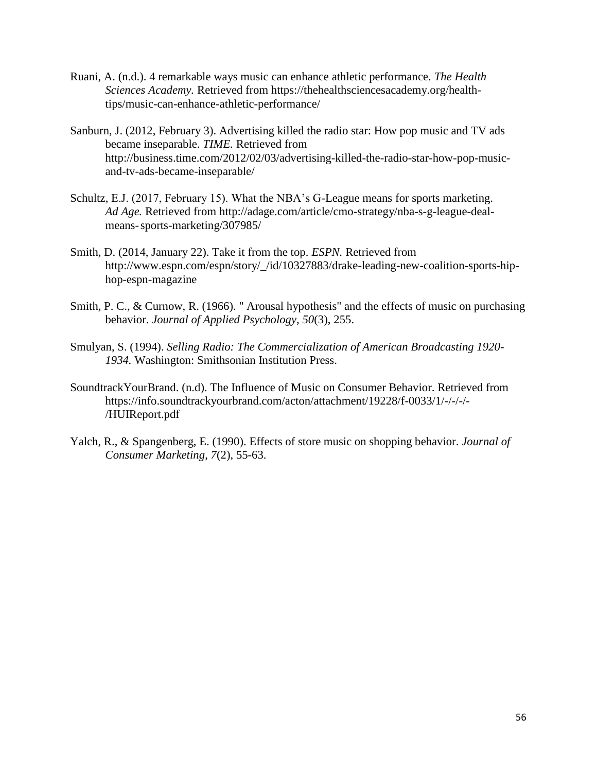- Ruani, A. (n.d.). 4 remarkable ways music can enhance athletic performance. *The Health Sciences Academy.* Retrieved from [https://thehealthsciencesacademy.org/health](https://thehealthsciencesacademy.org/health-%09tips/music-can-enhance-athletic-)[tips/music-can-enhance-athletic-p](https://thehealthsciencesacademy.org/health-%09tips/music-can-enhance-athletic-)erformance/
- Sanburn, J. (2012, February 3). Advertising killed the radio star: How pop music and TV ads became inseparable. *TIME.* Retrieved from [http://business.time.com/2012/02/03/advertising-killed-the-radio-star-how-pop-music](http://business.time.com/2012/02/03/advertising-killed-the-radio-star-how-pop-music-%09and-tv-ads-became-inseparable/)[and-tv-ads-became-inseparable/](http://business.time.com/2012/02/03/advertising-killed-the-radio-star-how-pop-music-%09and-tv-ads-became-inseparable/)
- Schultz, E.J. (2017, February 15). What the NBA's G-League means for sports marketing. *Ad Age.* Retrieved from [http://adage.com/article/cmo-strategy/nba-s-g-league-deal](http://adage.com/article/cmo-strategy/nba-s-g-league-deal-)means-sports-marketing/307985/
- Smith, D. (2014, January 22). Take it from the top. *ESPN.* Retrieved from http://www.espn.com/espn/story/\_/id/10327883/drake-leading-new-coalition-sports-hiphop-espn-magazine
- Smith, P. C., & Curnow, R. (1966). " Arousal hypothesis" and the effects of music on purchasing behavior. *Journal of Applied Psychology*, *50*(3), 255.
- Smulyan, S. (1994). *Selling Radio: The Commercialization of American Broadcasting 1920- 1934.* Washington: Smithsonian Institution Press.
- SoundtrackYourBrand. (n.d). The Influence of Music on Consumer Behavior. Retrieved from <https://info.soundtrackyourbrand.com/acton/attachment/19228/f-0033/1/-/-/-/-> /HUIReport.pdf
- Yalch, R., & Spangenberg, E. (1990). Effects of store music on shopping behavior. *Journal of Consumer Marketing*, *7*(2), 55-63.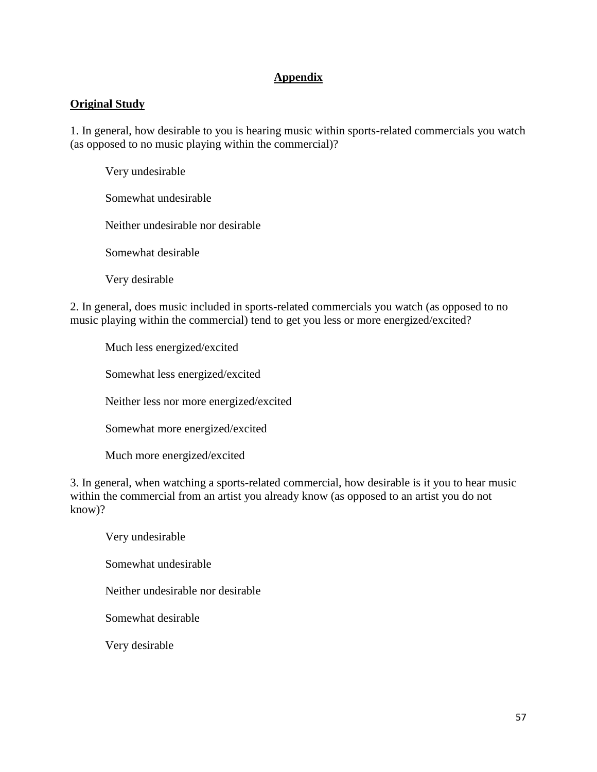## **Appendix**

## **Original Study**

1. In general, how desirable to you is hearing music within sports-related commercials you watch (as opposed to no music playing within the commercial)?

Very undesirable Somewhat undesirable Neither undesirable nor desirable

Somewhat desirable

Very desirable

2. In general, does music included in sports-related commercials you watch (as opposed to no music playing within the commercial) tend to get you less or more energized/excited?

Much less energized/excited

Somewhat less energized/excited

Neither less nor more energized/excited

Somewhat more energized/excited

Much more energized/excited

3. In general, when watching a sports-related commercial, how desirable is it you to hear music within the commercial from an artist you already know (as opposed to an artist you do not know)?

Very undesirable

Somewhat undesirable

Neither undesirable nor desirable

Somewhat desirable

Very desirable